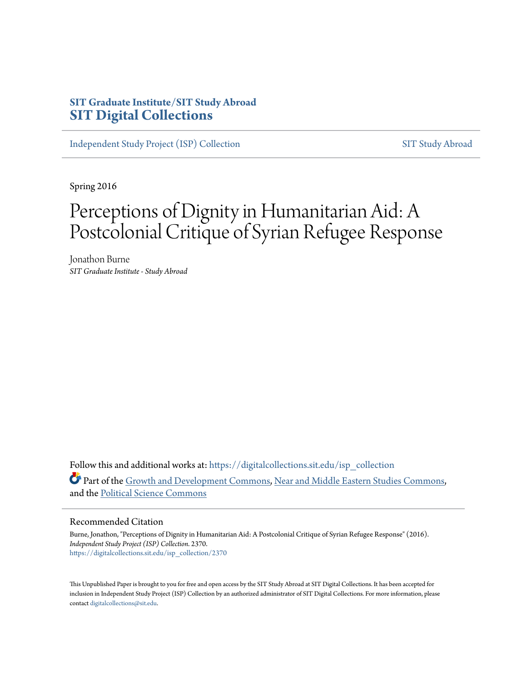### **SIT Graduate Institute/SIT Study Abroad [SIT Digital Collections](https://digitalcollections.sit.edu?utm_source=digitalcollections.sit.edu%2Fisp_collection%2F2370&utm_medium=PDF&utm_campaign=PDFCoverPages)**

[Independent Study Project \(ISP\) Collection](https://digitalcollections.sit.edu/isp_collection?utm_source=digitalcollections.sit.edu%2Fisp_collection%2F2370&utm_medium=PDF&utm_campaign=PDFCoverPages) [SIT Study Abroad](https://digitalcollections.sit.edu/study_abroad?utm_source=digitalcollections.sit.edu%2Fisp_collection%2F2370&utm_medium=PDF&utm_campaign=PDFCoverPages)

Spring 2016

## Perceptions of Dignity in Humanitarian Aid: A Postcolonial Critique of Syrian Refugee Response

Jonathon Burne *SIT Graduate Institute - Study Abroad*

Follow this and additional works at: [https://digitalcollections.sit.edu/isp\\_collection](https://digitalcollections.sit.edu/isp_collection?utm_source=digitalcollections.sit.edu%2Fisp_collection%2F2370&utm_medium=PDF&utm_campaign=PDFCoverPages) Part of the [Growth and Development Commons,](http://network.bepress.com/hgg/discipline/346?utm_source=digitalcollections.sit.edu%2Fisp_collection%2F2370&utm_medium=PDF&utm_campaign=PDFCoverPages) [Near and Middle Eastern Studies Commons,](http://network.bepress.com/hgg/discipline/1308?utm_source=digitalcollections.sit.edu%2Fisp_collection%2F2370&utm_medium=PDF&utm_campaign=PDFCoverPages) and the [Political Science Commons](http://network.bepress.com/hgg/discipline/386?utm_source=digitalcollections.sit.edu%2Fisp_collection%2F2370&utm_medium=PDF&utm_campaign=PDFCoverPages)

#### Recommended Citation

Burne, Jonathon, "Perceptions of Dignity in Humanitarian Aid: A Postcolonial Critique of Syrian Refugee Response" (2016). *Independent Study Project (ISP) Collection*. 2370. [https://digitalcollections.sit.edu/isp\\_collection/2370](https://digitalcollections.sit.edu/isp_collection/2370?utm_source=digitalcollections.sit.edu%2Fisp_collection%2F2370&utm_medium=PDF&utm_campaign=PDFCoverPages)

This Unpublished Paper is brought to you for free and open access by the SIT Study Abroad at SIT Digital Collections. It has been accepted for inclusion in Independent Study Project (ISP) Collection by an authorized administrator of SIT Digital Collections. For more information, please contact [digitalcollections@sit.edu](mailto:digitalcollections@sit.edu).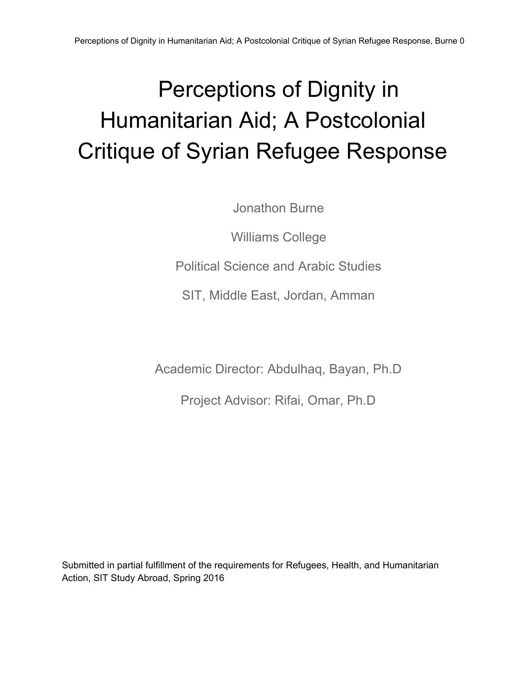Jonathon Burne

Williams College

Political Science and Arabic Studies

SIT, Middle East, Jordan, Amman

Academic Director: Abdulhaq, Bayan, Ph.D

Project Advisor: Rifai, Omar, Ph.D

Submitted in partial fulfillment of the requirements for Refugees, Health, and Humanitarian Action, SIT Study Abroad, Spring 2016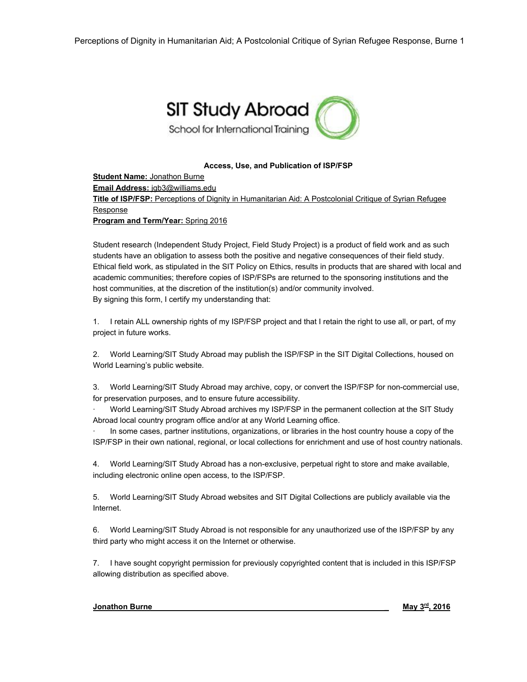

#### **Access, Use, and Publication of ISP/FSP**

**Student Name:** Jonathon Burne **Email Address:** jgb3@williams.edu **Title of ISP/FSP:** Perceptions of Dignity in Humanitarian Aid: A Postcolonial Critique of Syrian Refugee Response **Program and Term/Year:** Spring 2016

Student research (Independent Study Project, Field Study Project) is a product of field work and as such students have an obligation to assess both the positive and negative consequences of their field study. Ethical field work, as stipulated in the SIT Policy on Ethics, results in products that are shared with local and academic communities; therefore copies of ISP/FSPs are returned to the sponsoring institutions and the host communities, at the discretion of the institution(s) and/or community involved. By signing this form, I certify my understanding that:

1. I retain ALL ownership rights of my ISP/FSP project and that I retain the right to use all, or part, of my project in future works.

2. World Learning/SIT Study Abroad may publish the ISP/FSP in the SIT Digital Collections, housed on World Learning's public website.

3. World Learning/SIT Study Abroad may archive, copy, or convert the ISP/FSP for non-commercial use, for preservation purposes, and to ensure future accessibility.

∙ World Learning/SIT Study Abroad archives my ISP/FSP in the permanent collection at the SIT Study Abroad local country program office and/or at any World Learning office.

∙ In some cases, partner institutions, organizations, or libraries in the host country house a copy of the ISP/FSP in their own national, regional, or local collections for enrichment and use of host country nationals.

4. World Learning/SIT Study Abroad has a non-exclusive, perpetual right to store and make available, including electronic online open access, to the ISP/FSP.

5. World Learning/SIT Study Abroad websites and SIT Digital Collections are publicly available via the Internet.

6. World Learning/SIT Study Abroad is not responsible for any unauthorized use of the ISP/FSP by any third party who might access it on the Internet or otherwise.

7. I have sought copyright permission for previously copyrighted content that is included in this ISP/FSP allowing distribution as specified above.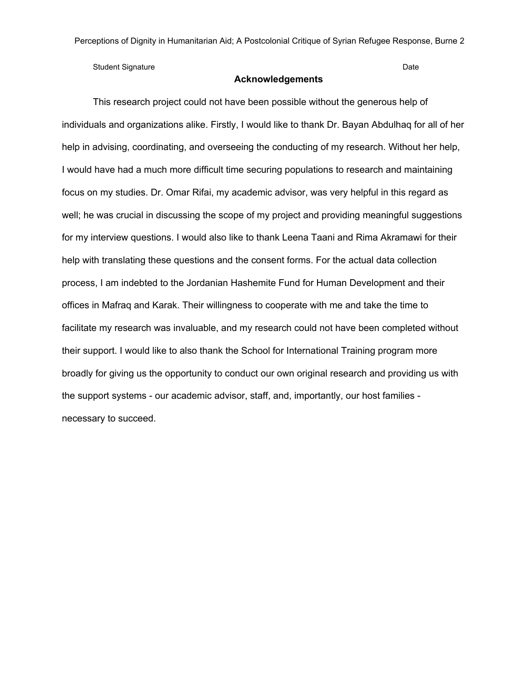Student Signature Date

#### **Acknowledgements**

This research project could not have been possible without the generous help of individuals and organizations alike. Firstly, I would like to thank Dr. Bayan Abdulhaq for all of her help in advising, coordinating, and overseeing the conducting of my research. Without her help, I would have had a much more difficult time securing populations to research and maintaining focus on my studies. Dr. Omar Rifai, my academic advisor, was very helpful in this regard as well; he was crucial in discussing the scope of my project and providing meaningful suggestions for my interview questions. I would also like to thank Leena Taani and Rima Akramawi for their help with translating these questions and the consent forms. For the actual data collection process, I am indebted to the Jordanian Hashemite Fund for Human Development and their offices in Mafraq and Karak. Their willingness to cooperate with me and take the time to facilitate my research was invaluable, and my research could not have been completed without their support. I would like to also thank the School for International Training program more broadly for giving us the opportunity to conduct our own original research and providing us with the support systems - our academic advisor, staff, and, importantly, our host families necessary to succeed.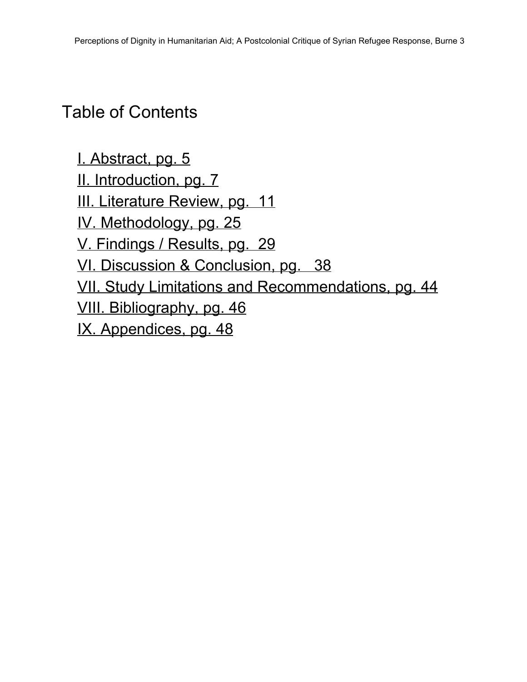### Table of Contents

I. [Abstract,](#page-5-0) pg. 5 II. [Introduction,](#page-7-0) pg. 7 III. [Literature](#page-11-0) Review, pg. 11 IV. [Methodology,](#page-25-0) pg. 25 V. [Findings](#page-29-0) / Results, pg. 29 VI. Discussion & Conclusion, pg. 38 VII. Study Limitations and [Recommendations,](#page-44-0) pg. 44 VIII. [Bibliography,](#page-46-0) pg. 46 IX. Appendices, pg. 48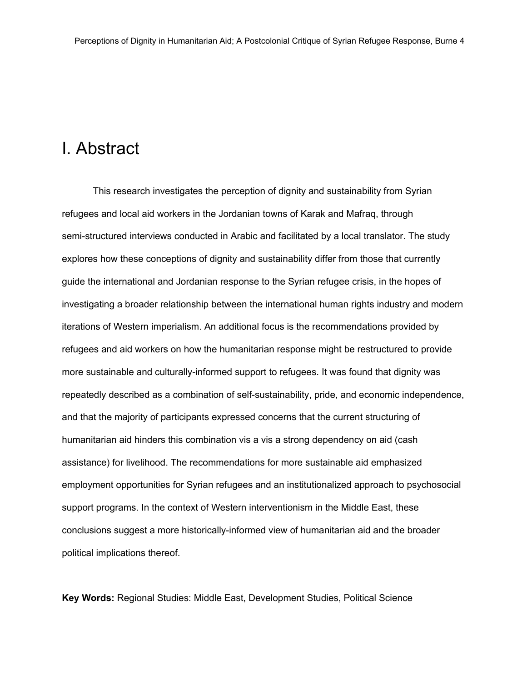### <span id="page-5-0"></span>I. Abstract

This research investigates the perception of dignity and sustainability from Syrian refugees and local aid workers in the Jordanian towns of Karak and Mafraq, through semi-structured interviews conducted in Arabic and facilitated by a local translator. The study explores how these conceptions of dignity and sustainability differ from those that currently guide the international and Jordanian response to the Syrian refugee crisis, in the hopes of investigating a broader relationship between the international human rights industry and modern iterations of Western imperialism. An additional focus is the recommendations provided by refugees and aid workers on how the humanitarian response might be restructured to provide more sustainable and culturally-informed support to refugees. It was found that dignity was repeatedly described as a combination of self-sustainability, pride, and economic independence, and that the majority of participants expressed concerns that the current structuring of humanitarian aid hinders this combination vis a vis a strong dependency on aid (cash assistance) for livelihood. The recommendations for more sustainable aid emphasized employment opportunities for Syrian refugees and an institutionalized approach to psychosocial support programs. In the context of Western interventionism in the Middle East, these conclusions suggest a more historically-informed view of humanitarian aid and the broader political implications thereof.

**Key Words:** Regional Studies: Middle East, Development Studies, Political Science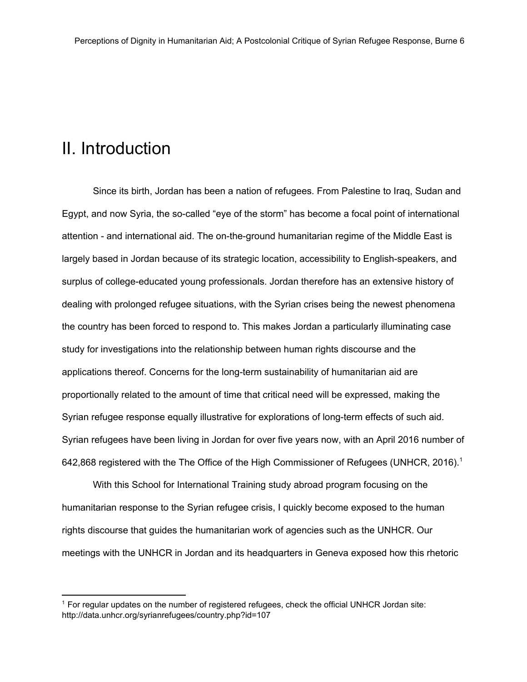### <span id="page-7-0"></span>II. Introduction

Since its birth, Jordan has been a nation of refugees. From Palestine to Iraq, Sudan and Egypt, and now Syria, the so-called "eye of the storm" has become a focal point of international attention - and international aid. The on-the-ground humanitarian regime of the Middle East is largely based in Jordan because of its strategic location, accessibility to English-speakers, and surplus of college-educated young professionals. Jordan therefore has an extensive history of dealing with prolonged refugee situations, with the Syrian crises being the newest phenomena the country has been forced to respond to. This makes Jordan a particularly illuminating case study for investigations into the relationship between human rights discourse and the applications thereof. Concerns for the long-term sustainability of humanitarian aid are proportionally related to the amount of time that critical need will be expressed, making the Syrian refugee response equally illustrative for explorations of long-term effects of such aid. Syrian refugees have been living in Jordan for over five years now, with an April 2016 number of 642,868 registered with the The Office of the High Commissioner of Refugees (UNHCR, 2016).<sup>1</sup>

With this School for International Training study abroad program focusing on the humanitarian response to the Syrian refugee crisis, I quickly become exposed to the human rights discourse that guides the humanitarian work of agencies such as the UNHCR. Our meetings with the UNHCR in Jordan and its headquarters in Geneva exposed how this rhetoric

<sup>1</sup> For regular updates on the number of registered refugees, check the official UNHCR Jordan site: http://data.unhcr.org/syrianrefugees/country.php?id=107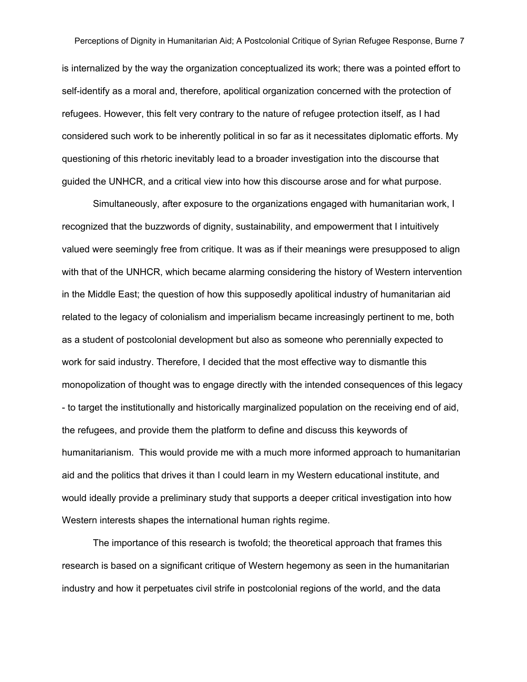is internalized by the way the organization conceptualized its work; there was a pointed effort to self-identify as a moral and, therefore, apolitical organization concerned with the protection of refugees. However, this felt very contrary to the nature of refugee protection itself, as I had considered such work to be inherently political in so far as it necessitates diplomatic efforts. My questioning of this rhetoric inevitably lead to a broader investigation into the discourse that guided the UNHCR, and a critical view into how this discourse arose and for what purpose.

Simultaneously, after exposure to the organizations engaged with humanitarian work, I recognized that the buzzwords of dignity, sustainability, and empowerment that I intuitively valued were seemingly free from critique. It was as if their meanings were presupposed to align with that of the UNHCR, which became alarming considering the history of Western intervention in the Middle East; the question of how this supposedly apolitical industry of humanitarian aid related to the legacy of colonialism and imperialism became increasingly pertinent to me, both as a student of postcolonial development but also as someone who perennially expected to work for said industry. Therefore, I decided that the most effective way to dismantle this monopolization of thought was to engage directly with the intended consequences of this legacy - to target the institutionally and historically marginalized population on the receiving end of aid, the refugees, and provide them the platform to define and discuss this keywords of humanitarianism. This would provide me with a much more informed approach to humanitarian aid and the politics that drives it than I could learn in my Western educational institute, and would ideally provide a preliminary study that supports a deeper critical investigation into how Western interests shapes the international human rights regime.

The importance of this research is twofold; the theoretical approach that frames this research is based on a significant critique of Western hegemony as seen in the humanitarian industry and how it perpetuates civil strife in postcolonial regions of the world, and the data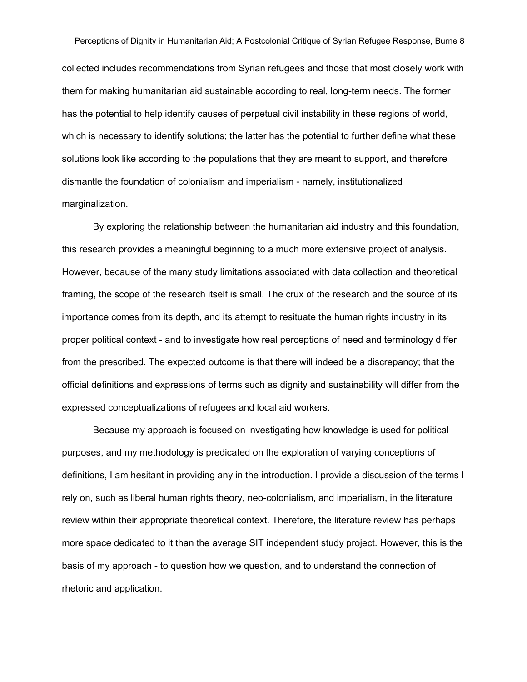Perceptions of Dignity in Humanitarian Aid; A Postcolonial Critique of Syrian Refugee Response, Burne 8 collected includes recommendations from Syrian refugees and those that most closely work with them for making humanitarian aid sustainable according to real, long-term needs. The former has the potential to help identify causes of perpetual civil instability in these regions of world, which is necessary to identify solutions; the latter has the potential to further define what these solutions look like according to the populations that they are meant to support, and therefore dismantle the foundation of colonialism and imperialism - namely, institutionalized marginalization.

By exploring the relationship between the humanitarian aid industry and this foundation, this research provides a meaningful beginning to a much more extensive project of analysis. However, because of the many study limitations associated with data collection and theoretical framing, the scope of the research itself is small. The crux of the research and the source of its importance comes from its depth, and its attempt to resituate the human rights industry in its proper political context - and to investigate how real perceptions of need and terminology differ from the prescribed. The expected outcome is that there will indeed be a discrepancy; that the official definitions and expressions of terms such as dignity and sustainability will differ from the expressed conceptualizations of refugees and local aid workers.

Because my approach is focused on investigating how knowledge is used for political purposes, and my methodology is predicated on the exploration of varying conceptions of definitions, I am hesitant in providing any in the introduction. I provide a discussion of the terms I rely on, such as liberal human rights theory, neo-colonialism, and imperialism, in the literature review within their appropriate theoretical context. Therefore, the literature review has perhaps more space dedicated to it than the average SIT independent study project. However, this is the basis of my approach - to question how we question, and to understand the connection of rhetoric and application.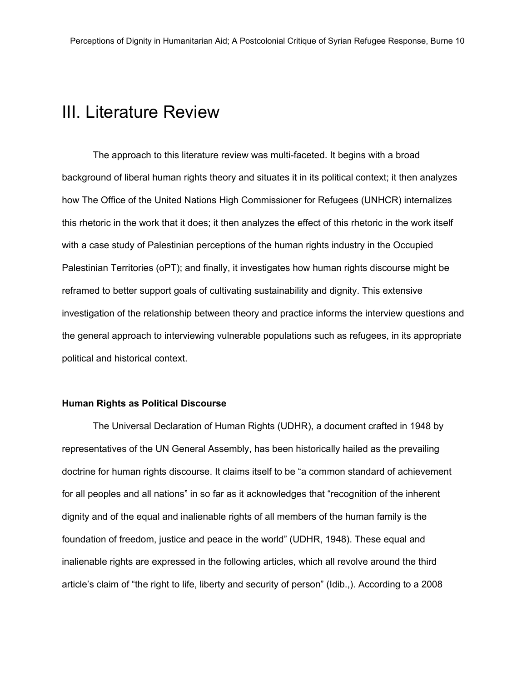### <span id="page-11-0"></span>III. Literature Review

The approach to this literature review was multi-faceted. It begins with a broad background of liberal human rights theory and situates it in its political context; it then analyzes how The Office of the United Nations High Commissioner for Refugees (UNHCR) internalizes this rhetoric in the work that it does; it then analyzes the effect of this rhetoric in the work itself with a case study of Palestinian perceptions of the human rights industry in the Occupied Palestinian Territories (oPT); and finally, it investigates how human rights discourse might be reframed to better support goals of cultivating sustainability and dignity. This extensive investigation of the relationship between theory and practice informs the interview questions and the general approach to interviewing vulnerable populations such as refugees, in its appropriate political and historical context.

#### **Human Rights as Political Discourse**

The Universal Declaration of Human Rights (UDHR), a document crafted in 1948 by representatives of the UN General Assembly, has been historically hailed as the prevailing doctrine for human rights discourse. It claims itself to be "a common standard of achievement for all peoples and all nations" in so far as it acknowledges that "recognition of the inherent dignity and of the equal and inalienable rights of all members of the human family is the foundation of freedom, justice and peace in the world" (UDHR, 1948). These equal and inalienable rights are expressed in the following articles, which all revolve around the third article's claim of "the right to life, liberty and security of person" (Idib.,). According to a 200[8](http://worldpublicopinion.org/)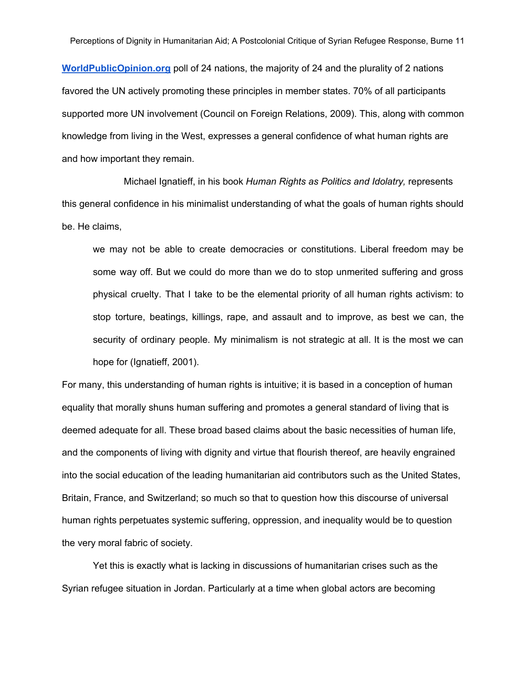**[WorldPublicOpinion.org](http://worldpublicopinion.org/)**poll of 24 nations, the majority of 24 and the plurality of 2 nations favored the UN actively promoting these principles in member states. 70% of all participants supported more UN involvement (Council on Foreign Relations, 2009). This, along with common knowledge from living in the West, expresses a general confidence of what human rights are and how important they remain.

Michael Ignatieff, in his book *Human Rights as Politics and Idolatry,* represents this general confidence in his minimalist understanding of what the goals of human rights should be. He claims,

we may not be able to create democracies or constitutions. Liberal freedom may be some way off. But we could do more than we do to stop unmerited suffering and gross physical cruelty. That I take to be the elemental priority of all human rights activism: to stop torture, beatings, killings, rape, and assault and to improve, as best we can, the security of ordinary people. My minimalism is not strategic at all. It is the most we can hope for (Ignatieff, 2001).

For many, this understanding of human rights is intuitive; it is based in a conception of human equality that morally shuns human suffering and promotes a general standard of living that is deemed adequate for all. These broad based claims about the basic necessities of human life, and the components of living with dignity and virtue that flourish thereof, are heavily engrained into the social education of the leading humanitarian aid contributors such as the United States, Britain, France, and Switzerland; so much so that to question how this discourse of universal human rights perpetuates systemic suffering, oppression, and inequality would be to question the very moral fabric of society.

Yet this is exactly what is lacking in discussions of humanitarian crises such as the Syrian refugee situation in Jordan. Particularly at a time when global actors are becoming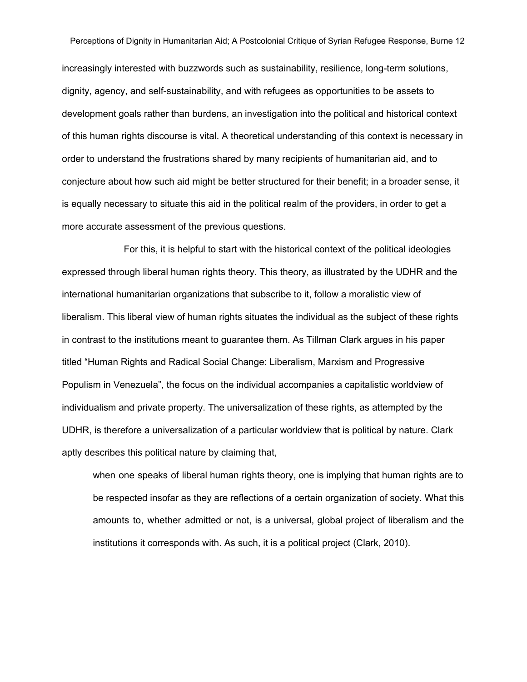increasingly interested with buzzwords such as sustainability, resilience, long-term solutions, dignity, agency, and self-sustainability, and with refugees as opportunities to be assets to development goals rather than burdens, an investigation into the political and historical context of this human rights discourse is vital. A theoretical understanding of this context is necessary in order to understand the frustrations shared by many recipients of humanitarian aid, and to conjecture about how such aid might be better structured for their benefit; in a broader sense, it is equally necessary to situate this aid in the political realm of the providers, in order to get a more accurate assessment of the previous questions.

For this, it is helpful to start with the historical context of the political ideologies expressed through liberal human rights theory. This theory, as illustrated by the UDHR and the international humanitarian organizations that subscribe to it, follow a moralistic view of liberalism. This liberal view of human rights situates the individual as the subject of these rights in contrast to the institutions meant to guarantee them. As Tillman Clark argues in his paper titled "Human Rights and Radical Social Change: Liberalism, Marxism and Progressive Populism in Venezuela", the focus on the individual accompanies a capitalistic worldview of individualism and private property. The universalization of these rights, as attempted by the UDHR, is therefore a universalization of a particular worldview that is political by nature. Clark aptly describes this political nature by claiming that,

when one speaks of liberal human rights theory, one is implying that human rights are to be respected insofar as they are reflections of a certain organization of society. What this amounts to, whether admitted or not, is a universal, global project of liberalism and the institutions it corresponds with. As such, it is a political project (Clark, 2010).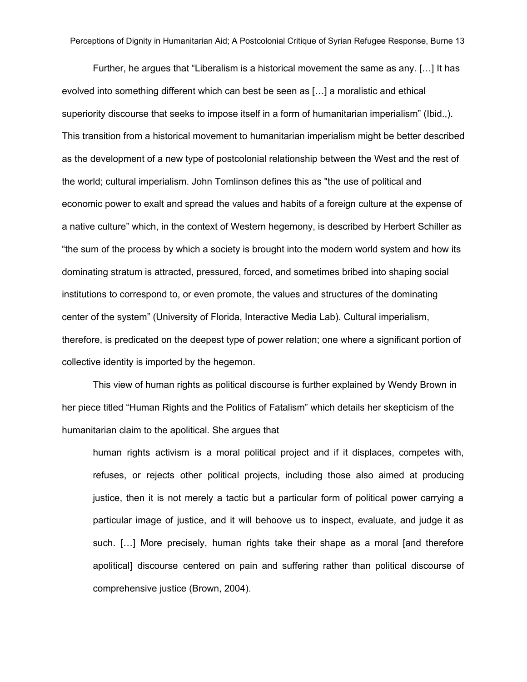Further, he argues that "Liberalism is a historical movement the same as any. […] It has evolved into something different which can best be seen as […] a moralistic and ethical superiority discourse that seeks to impose itself in a form of humanitarian imperialism" (Ibid.,). This transition from a historical movement to humanitarian imperialism might be better described as the development of a new type of postcolonial relationship between the West and the rest of the world; cultural imperialism. John Tomlinson defines this as "the use of political and economic power to exalt and spread the values and habits of a foreign culture at the expense of a native culture" which, in the context of Western hegemony, is described by Herbert Schiller as "the sum of the process by which a society is brought into the modern world system and how its dominating stratum is attracted, pressured, forced, and sometimes bribed into shaping social institutions to correspond to, or even promote, the values and structures of the dominating center of the system" (University of Florida, Interactive Media Lab). Cultural imperialism, therefore, is predicated on the deepest type of power relation; one where a significant portion of collective identity is imported by the hegemon.

This view of human rights as political discourse is further explained by Wendy Brown in her piece titled "Human Rights and the Politics of Fatalism" which details her skepticism of the humanitarian claim to the apolitical. She argues that

human rights activism is a moral political project and if it displaces, competes with, refuses, or rejects other political projects, including those also aimed at producing justice, then it is not merely a tactic but a particular form of political power carrying a particular image of justice, and it will behoove us to inspect, evaluate, and judge it as such. […] More precisely, human rights take their shape as a moral [and therefore apolitical] discourse centered on pain and suffering rather than political discourse of comprehensive justice (Brown, 2004).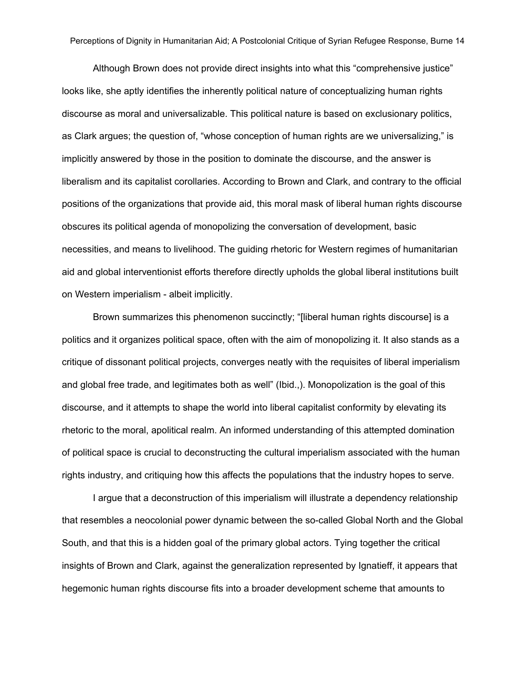Although Brown does not provide direct insights into what this "comprehensive justice" looks like, she aptly identifies the inherently political nature of conceptualizing human rights discourse as moral and universalizable. This political nature is based on exclusionary politics, as Clark argues; the question of, "whose conception of human rights are we universalizing," is implicitly answered by those in the position to dominate the discourse, and the answer is liberalism and its capitalist corollaries. According to Brown and Clark, and contrary to the official positions of the organizations that provide aid, this moral mask of liberal human rights discourse obscures its political agenda of monopolizing the conversation of development, basic necessities, and means to livelihood. The guiding rhetoric for Western regimes of humanitarian aid and global interventionist efforts therefore directly upholds the global liberal institutions built on Western imperialism - albeit implicitly.

Brown summarizes this phenomenon succinctly; "[liberal human rights discourse] is a politics and it organizes political space, often with the aim of monopolizing it. It also stands as a critique of dissonant political projects, converges neatly with the requisites of liberal imperialism and global free trade, and legitimates both as well" (Ibid.,). Monopolization is the goal of this discourse, and it attempts to shape the world into liberal capitalist conformity by elevating its rhetoric to the moral, apolitical realm. An informed understanding of this attempted domination of political space is crucial to deconstructing the cultural imperialism associated with the human rights industry, and critiquing how this affects the populations that the industry hopes to serve.

I argue that a deconstruction of this imperialism will illustrate a dependency relationship that resembles a neocolonial power dynamic between the so-called Global North and the Global South, and that this is a hidden goal of the primary global actors. Tying together the critical insights of Brown and Clark, against the generalization represented by Ignatieff, it appears that hegemonic human rights discourse fits into a broader development scheme that amounts to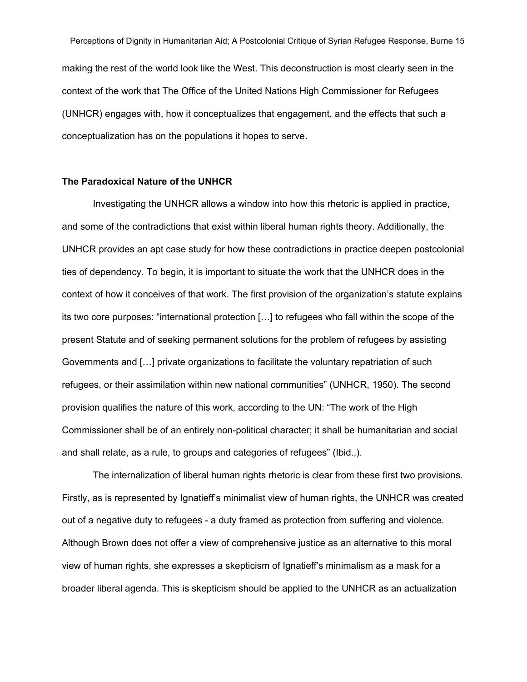Perceptions of Dignity in Humanitarian Aid; A Postcolonial Critique of Syrian Refugee Response, Burne 15 making the rest of the world look like the West. This deconstruction is most clearly seen in the context of the work that The Office of the United Nations High Commissioner for Refugees (UNHCR) engages with, how it conceptualizes that engagement, and the effects that such a conceptualization has on the populations it hopes to serve.

#### **The Paradoxical Nature of the UNHCR**

Investigating the UNHCR allows a window into how this rhetoric is applied in practice, and some of the contradictions that exist within liberal human rights theory. Additionally, the UNHCR provides an apt case study for how these contradictions in practice deepen postcolonial ties of dependency. To begin, it is important to situate the work that the UNHCR does in the context of how it conceives of that work. The first provision of the organization's statute explains its two core purposes: "international protection […] to refugees who fall within the scope of the present Statute and of seeking permanent solutions for the problem of refugees by assisting Governments and […] private organizations to facilitate the voluntary repatriation of such refugees, or their assimilation within new national communities" (UNHCR, 1950). The second provision qualifies the nature of this work, according to the UN: "The work of the High Commissioner shall be of an entirely non-political character; it shall be humanitarian and social and shall relate, as a rule, to groups and categories of refugees" (Ibid.,).

The internalization of liberal human rights rhetoric is clear from these first two provisions. Firstly, as is represented by Ignatieff's minimalist view of human rights, the UNHCR was created out of a negative duty to refugees - a duty framed as protection from suffering and violence. Although Brown does not offer a view of comprehensive justice as an alternative to this moral view of human rights, she expresses a skepticism of Ignatieff's minimalism as a mask for a broader liberal agenda. This is skepticism should be applied to the UNHCR as an actualization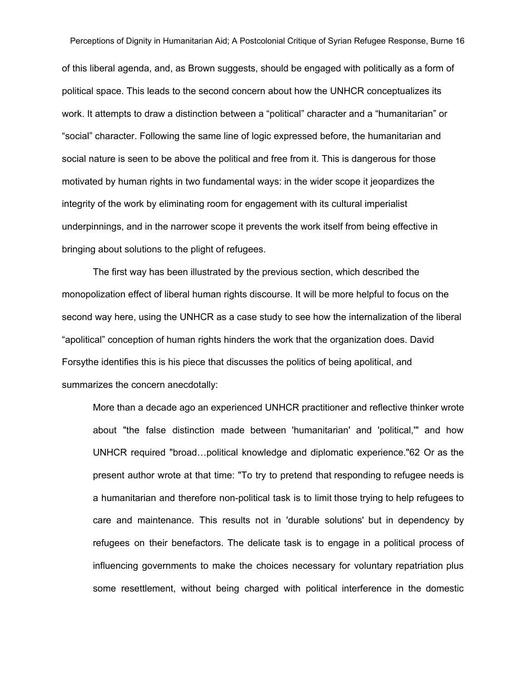of this liberal agenda, and, as Brown suggests, should be engaged with politically as a form of political space. This leads to the second concern about how the UNHCR conceptualizes its work. It attempts to draw a distinction between a "political" character and a "humanitarian" or "social" character. Following the same line of logic expressed before, the humanitarian and social nature is seen to be above the political and free from it. This is dangerous for those motivated by human rights in two fundamental ways: in the wider scope it jeopardizes the integrity of the work by eliminating room for engagement with its cultural imperialist underpinnings, and in the narrower scope it prevents the work itself from being effective in bringing about solutions to the plight of refugees.

The first way has been illustrated by the previous section, which described the monopolization effect of liberal human rights discourse. It will be more helpful to focus on the second way here, using the UNHCR as a case study to see how the internalization of the liberal "apolitical" conception of human rights hinders the work that the organization does. David Forsythe identifies this is his piece that discusses the politics of being apolitical, and summarizes the concern anecdotally:

More than a decade ago an experienced UNHCR practitioner and reflective thinker wrote about "the false distinction made between 'humanitarian' and 'political,'" and how UNHCR required "broad…political knowledge and diplomatic experience."62 Or as the present author wrote at that time: "To try to pretend that responding to refugee needs is a humanitarian and therefore non-political task is to limit those trying to help refugees to care and maintenance. This results not in 'durable solutions' but in dependency by refugees on their benefactors. The delicate task is to engage in a political process of influencing governments to make the choices necessary for voluntary repatriation plus some resettlement, without being charged with political interference in the domestic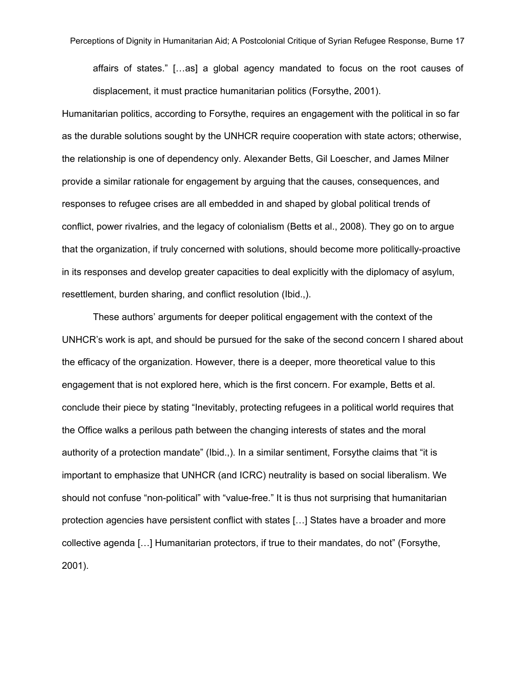affairs of states." […as] a global agency mandated to focus on the root causes of displacement, it must practice humanitarian politics (Forsythe, 2001).

Humanitarian politics, according to Forsythe, requires an engagement with the political in so far as the durable solutions sought by the UNHCR require cooperation with state actors; otherwise, the relationship is one of dependency only. Alexander Betts, Gil Loescher, and James Milner provide a similar rationale for engagement by arguing that the causes, consequences, and responses to refugee crises are all embedded in and shaped by global political trends of conflict, power rivalries, and the legacy of colonialism (Betts et al., 2008). They go on to argue that the organization, if truly concerned with solutions, should become more politically-proactive in its responses and develop greater capacities to deal explicitly with the diplomacy of asylum, resettlement, burden sharing, and conflict resolution (Ibid.,).

These authors' arguments for deeper political engagement with the context of the UNHCR's work is apt, and should be pursued for the sake of the second concern I shared about the efficacy of the organization. However, there is a deeper, more theoretical value to this engagement that is not explored here, which is the first concern. For example, Betts et al. conclude their piece by stating "Inevitably, protecting refugees in a political world requires that the Office walks a perilous path between the changing interests of states and the moral authority of a protection mandate" (Ibid.,). In a similar sentiment, Forsythe claims that "it is important to emphasize that UNHCR (and ICRC) neutrality is based on social liberalism. We should not confuse "non-political" with "value-free." It is thus not surprising that humanitarian protection agencies have persistent conflict with states […] States have a broader and more collective agenda […] Humanitarian protectors, if true to their mandates, do not" (Forsythe, 2001).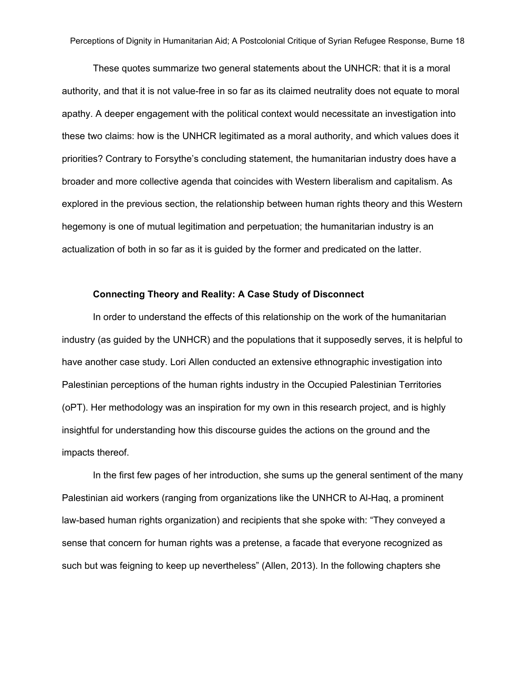These quotes summarize two general statements about the UNHCR: that it is a moral authority, and that it is not value-free in so far as its claimed neutrality does not equate to moral apathy. A deeper engagement with the political context would necessitate an investigation into these two claims: how is the UNHCR legitimated as a moral authority, and which values does it priorities? Contrary to Forsythe's concluding statement, the humanitarian industry does have a broader and more collective agenda that coincides with Western liberalism and capitalism. As explored in the previous section, the relationship between human rights theory and this Western hegemony is one of mutual legitimation and perpetuation; the humanitarian industry is an actualization of both in so far as it is guided by the former and predicated on the latter.

#### **Connecting Theory and Reality: A Case Study of Disconnect**

In order to understand the effects of this relationship on the work of the humanitarian industry (as guided by the UNHCR) and the populations that it supposedly serves, it is helpful to have another case study. Lori Allen conducted an extensive ethnographic investigation into Palestinian perceptions of the human rights industry in the Occupied Palestinian Territories (oPT). Her methodology was an inspiration for my own in this research project, and is highly insightful for understanding how this discourse guides the actions on the ground and the impacts thereof.

In the first few pages of her introduction, she sums up the general sentiment of the many Palestinian aid workers (ranging from organizations like the UNHCR to Al-Haq, a prominent lawbased human rights organization) and recipients that she spoke with: "They conveyed a sense that concern for human rights was a pretense, a facade that everyone recognized as such but was feigning to keep up nevertheless" (Allen, 2013). In the following chapters she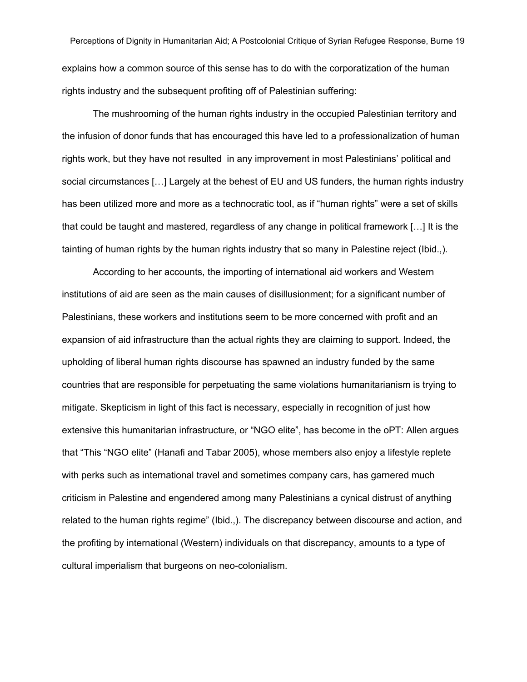Perceptions of Dignity in Humanitarian Aid; A Postcolonial Critique of Syrian Refugee Response, Burne 19 explains how a common source of this sense has to do with the corporatization of the human rights industry and the subsequent profiting off of Palestinian suffering:

The mushrooming of the human rights industry in the occupied Palestinian territory and the infusion of donor funds that has encouraged this have led to a professionalization of human rights work, but they have not resulted in any improvement in most Palestinians' political and social circumstances […] Largely at the behest of EU and US funders, the human rights industry has been utilized more and more as a technocratic tool, as if "human rights" were a set of skills that could be taught and mastered, regardless of any change in political framework […] It is the tainting of human rights by the human rights industry that so many in Palestine reject (Ibid.,).

According to her accounts, the importing of international aid workers and Western institutions of aid are seen as the main causes of disillusionment; for a significant number of Palestinians, these workers and institutions seem to be more concerned with profit and an expansion of aid infrastructure than the actual rights they are claiming to support. Indeed, the upholding of liberal human rights discourse has spawned an industry funded by the same countries that are responsible for perpetuating the same violations humanitarianism is trying to mitigate. Skepticism in light of this fact is necessary, especially in recognition of just how extensive this humanitarian infrastructure, or "NGO elite", has become in the oPT: Allen argues that "This "NGO elite" (Hanafi and Tabar 2005), whose members also enjoy a lifestyle replete with perks such as international travel and sometimes company cars, has garnered much criticism in Palestine and engendered among many Palestinians a cynical distrust of anything related to the human rights regime" (Ibid.,). The discrepancy between discourse and action, and the profiting by international (Western) individuals on that discrepancy, amounts to a type of cultural imperialism that burgeons on neo-colonialism.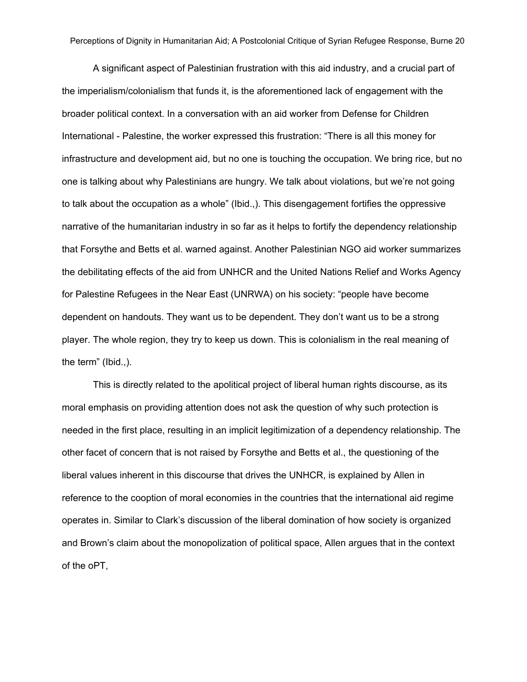A significant aspect of Palestinian frustration with this aid industry, and a crucial part of the imperialism/colonialism that funds it, is the aforementioned lack of engagement with the broader political context. In a conversation with an aid worker from Defense for Children International - Palestine, the worker expressed this frustration: "There is all this money for infrastructure and development aid, but no one is touching the occupation. We bring rice, but no one is talking about why Palestinians are hungry. We talk about violations, but we're not going to talk about the occupation as a whole" (Ibid.,). This disengagement fortifies the oppressive narrative of the humanitarian industry in so far as it helps to fortify the dependency relationship that Forsythe and Betts et al. warned against. Another Palestinian NGO aid worker summarizes the debilitating effects of the aid from UNHCR and the United Nations Relief and Works Agency for Palestine Refugees in the Near East (UNRWA) on his society: "people have become dependent on handouts. They want us to be dependent. They don't want us to be a strong player. The whole region, they try to keep us down. This is colonialism in the real meaning of the term" (Ibid.,).

This is directly related to the apolitical project of liberal human rights discourse, as its moral emphasis on providing attention does not ask the question of why such protection is needed in the first place, resulting in an implicit legitimization of a dependency relationship. The other facet of concern that is not raised by Forsythe and Betts et al., the questioning of the liberal values inherent in this discourse that drives the UNHCR, is explained by Allen in reference to the cooption of moral economies in the countries that the international aid regime operates in. Similar to Clark's discussion of the liberal domination of how society is organized and Brown's claim about the monopolization of political space, Allen argues that in the context of the oPT,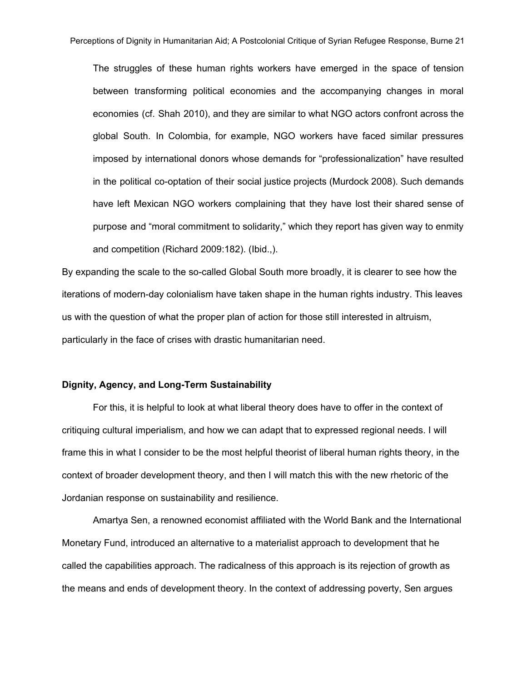The struggles of these human rights workers have emerged in the space of tension between transforming political economies and the accompanying changes in moral economies (cf. Shah 2010), and they are similar to what NGO actors confront across the global South. In Colombia, for example, NGO workers have faced similar pressures imposed by international donors whose demands for "professionalization" have resulted in the political co-optation of their social justice projects (Murdock 2008). Such demands have left Mexican NGO workers complaining that they have lost their shared sense of purpose and "moral commitment to solidarity," which they report has given way to enmity and competition (Richard 2009:182). (Ibid.,).

By expanding the scale to the so-called Global South more broadly, it is clearer to see how the iterations of modern-day colonialism have taken shape in the human rights industry. This leaves us with the question of what the proper plan of action for those still interested in altruism, particularly in the face of crises with drastic humanitarian need.

#### **Dignity, Agency, and Long-Term Sustainability**

For this, it is helpful to look at what liberal theory does have to offer in the context of critiquing cultural imperialism, and how we can adapt that to expressed regional needs. I will frame this in what I consider to be the most helpful theorist of liberal human rights theory, in the context of broader development theory, and then I will match this with the new rhetoric of the Jordanian response on sustainability and resilience.

Amartya Sen, a renowned economist affiliated with the World Bank and the International Monetary Fund, introduced an alternative to a materialist approach to development that he called the capabilities approach. The radicalness of this approach is its rejection of growth as the means and ends of development theory. In the context of addressing poverty, Sen argues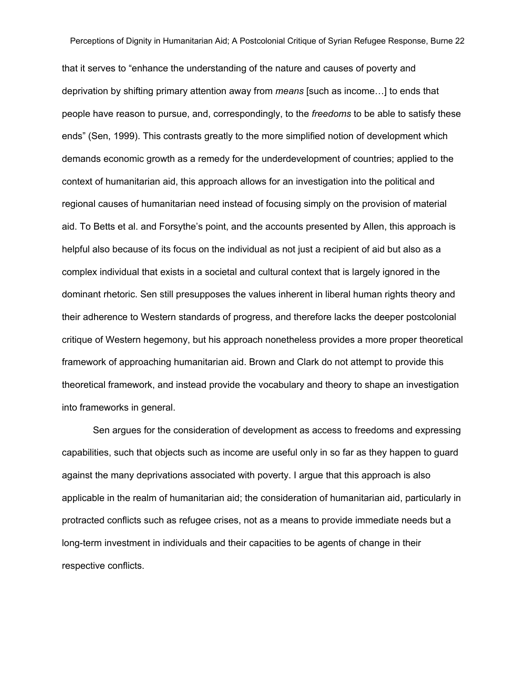that it serves to "enhance the understanding of the nature and causes of poverty and deprivation by shifting primary attention away from *means* [such as income…] to ends that people have reason to pursue, and, correspondingly, to the *freedoms* to be able to satisfy these ends" (Sen, 1999). This contrasts greatly to the more simplified notion of development which demands economic growth as a remedy for the underdevelopment of countries; applied to the context of humanitarian aid, this approach allows for an investigation into the political and regional causes of humanitarian need instead of focusing simply on the provision of material aid. To Betts et al. and Forsythe's point, and the accounts presented by Allen, this approach is helpful also because of its focus on the individual as not just a recipient of aid but also as a complex individual that exists in a societal and cultural context that is largely ignored in the dominant rhetoric. Sen still presupposes the values inherent in liberal human rights theory and their adherence to Western standards of progress, and therefore lacks the deeper postcolonial critique of Western hegemony, but his approach nonetheless provides a more proper theoretical framework of approaching humanitarian aid. Brown and Clark do not attempt to provide this theoretical framework, and instead provide the vocabulary and theory to shape an investigation into frameworks in general.

Sen argues for the consideration of development as access to freedoms and expressing capabilities, such that objects such as income are useful only in so far as they happen to guard against the many deprivations associated with poverty. I argue that this approach is also applicable in the realm of humanitarian aid; the consideration of humanitarian aid, particularly in protracted conflicts such as refugee crises, not as a means to provide immediate needs but a long-term investment in individuals and their capacities to be agents of change in their respective conflicts.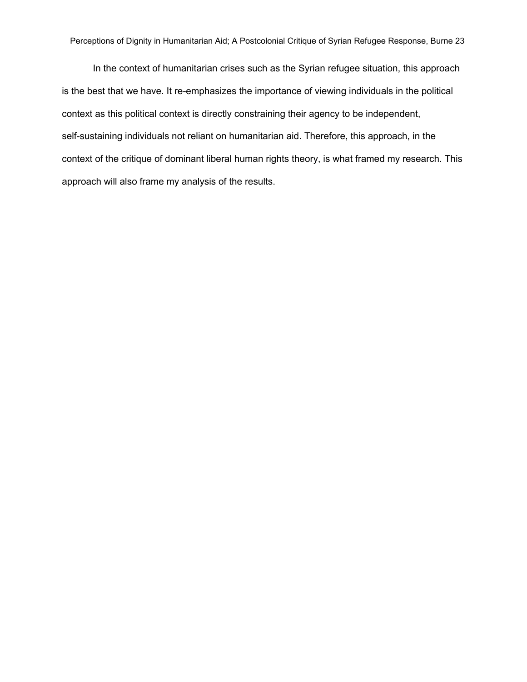In the context of humanitarian crises such as the Syrian refugee situation, this approach is the best that we have. It re-emphasizes the importance of viewing individuals in the political context as this political context is directly constraining their agency to be independent, self-sustaining individuals not reliant on humanitarian aid. Therefore, this approach, in the context of the critique of dominant liberal human rights theory, is what framed my research. This approach will also frame my analysis of the results.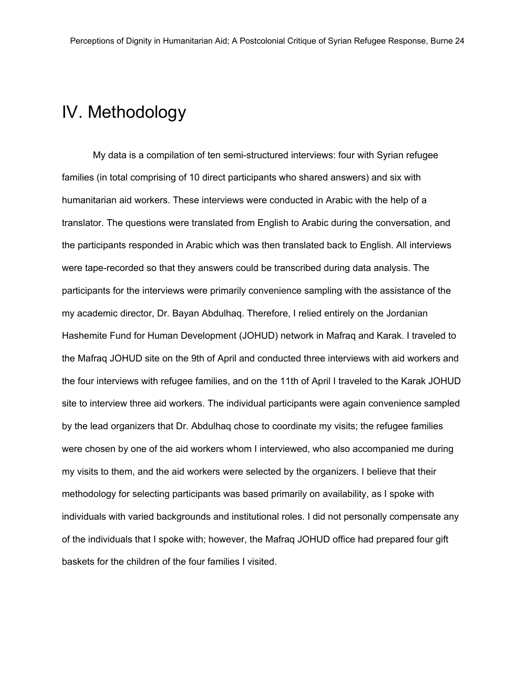### <span id="page-25-0"></span>IV. Methodology

My data is a compilation of ten semi-structured interviews: four with Syrian refugee families (in total comprising of 10 direct participants who shared answers) and six with humanitarian aid workers. These interviews were conducted in Arabic with the help of a translator. The questions were translated from English to Arabic during the conversation, and the participants responded in Arabic which was then translated back to English. All interviews were tape-recorded so that they answers could be transcribed during data analysis. The participants for the interviews were primarily convenience sampling with the assistance of the my academic director, Dr. Bayan Abdulhaq. Therefore, I relied entirely on the Jordanian Hashemite Fund for Human Development (JOHUD) network in Mafraq and Karak. I traveled to the Mafraq JOHUD site on the 9th of April and conducted three interviews with aid workers and the four interviews with refugee families, and on the 11th of April I traveled to the Karak JOHUD site to interview three aid workers. The individual participants were again convenience sampled by the lead organizers that Dr. Abdulhaq chose to coordinate my visits; the refugee families were chosen by one of the aid workers whom I interviewed, who also accompanied me during my visits to them, and the aid workers were selected by the organizers. I believe that their methodology for selecting participants was based primarily on availability, as I spoke with individuals with varied backgrounds and institutional roles. I did not personally compensate any of the individuals that I spoke with; however, the Mafraq JOHUD office had prepared four gift baskets for the children of the four families I visited.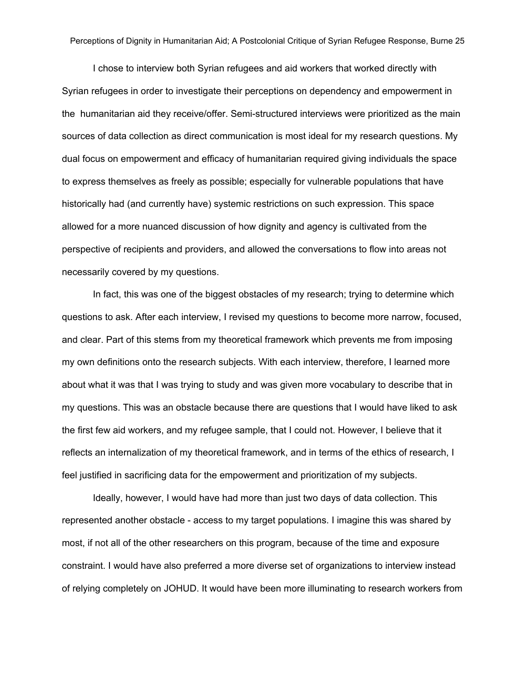I chose to interview both Syrian refugees and aid workers that worked directly with Syrian refugees in order to investigate their perceptions on dependency and empowerment in the humanitarian aid they receive/offer. Semi-structured interviews were prioritized as the main sources of data collection as direct communication is most ideal for my research questions. My dual focus on empowerment and efficacy of humanitarian required giving individuals the space to express themselves as freely as possible; especially for vulnerable populations that have historically had (and currently have) systemic restrictions on such expression. This space allowed for a more nuanced discussion of how dignity and agency is cultivated from the perspective of recipients and providers, and allowed the conversations to flow into areas not necessarily covered by my questions.

In fact, this was one of the biggest obstacles of my research; trying to determine which questions to ask. After each interview, I revised my questions to become more narrow, focused, and clear. Part of this stems from my theoretical framework which prevents me from imposing my own definitions onto the research subjects. With each interview, therefore, I learned more about what it was that I was trying to study and was given more vocabulary to describe that in my questions. This was an obstacle because there are questions that I would have liked to ask the first few aid workers, and my refugee sample, that I could not. However, I believe that it reflects an internalization of my theoretical framework, and in terms of the ethics of research, I feel justified in sacrificing data for the empowerment and prioritization of my subjects.

Ideally, however, I would have had more than just two days of data collection. This represented another obstacle - access to my target populations. I imagine this was shared by most, if not all of the other researchers on this program, because of the time and exposure constraint. I would have also preferred a more diverse set of organizations to interview instead of relying completely on JOHUD. It would have been more illuminating to research workers from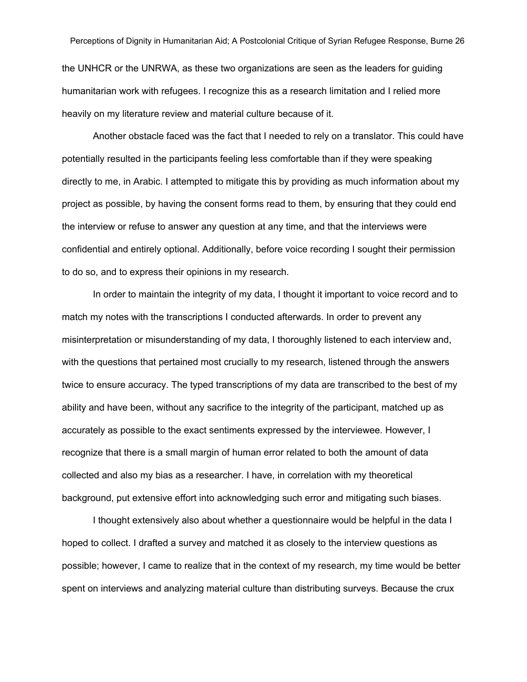the UNHCR or the UNRWA, as these two organizations are seen as the leaders for guiding humanitarian work with refugees. I recognize this as a research limitation and I relied more heavily on my literature review and material culture because of it.

Another obstacle faced was the fact that I needed to rely on a translator. This could have potentially resulted in the participants feeling less comfortable than if they were speaking directly to me, in Arabic. I attempted to mitigate this by providing as much information about my project as possible, by having the consent forms read to them, by ensuring that they could end the interview or refuse to answer any question at any time, and that the interviews were confidential and entirely optional. Additionally, before voice recording I sought their permission to do so, and to express their opinions in my research.

In order to maintain the integrity of my data, I thought it important to voice record and to match my notes with the transcriptions I conducted afterwards. In order to prevent any misinterpretation or misunderstanding of my data, I thoroughly listened to each interview and, with the questions that pertained most crucially to my research, listened through the answers twice to ensure accuracy. The typed transcriptions of my data are transcribed to the best of my ability and have been, without any sacrifice to the integrity of the participant, matched up as accurately as possible to the exact sentiments expressed by the interviewee. However, I recognize that there is a small margin of human error related to both the amount of data collected and also my bias as a researcher. I have, in correlation with my theoretical background, put extensive effort into acknowledging such error and mitigating such biases.

I thought extensively also about whether a questionnaire would be helpful in the data I hoped to collect. I drafted a survey and matched it as closely to the interview questions as possible; however, I came to realize that in the context of my research, my time would be better spent on interviews and analyzing material culture than distributing surveys. Because the crux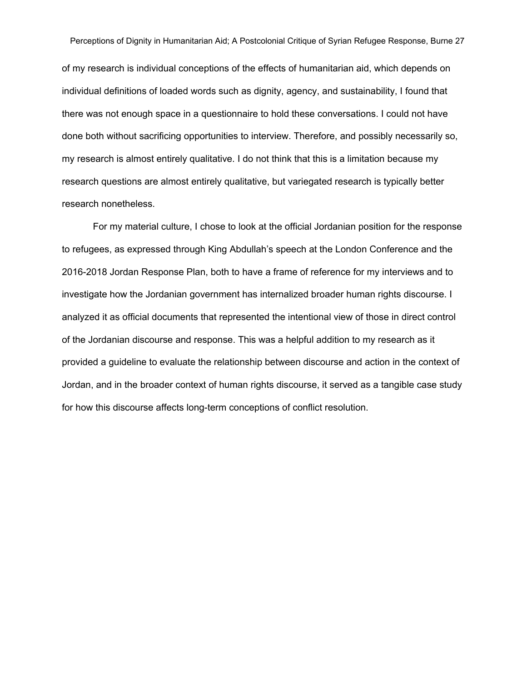of my research is individual conceptions of the effects of humanitarian aid, which depends on individual definitions of loaded words such as dignity, agency, and sustainability, I found that there was not enough space in a questionnaire to hold these conversations. I could not have done both without sacrificing opportunities to interview. Therefore, and possibly necessarily so, my research is almost entirely qualitative. I do not think that this is a limitation because my research questions are almost entirely qualitative, but variegated research is typically better research nonetheless.

For my material culture, I chose to look at the official Jordanian position for the response to refugees, as expressed through King Abdullah's speech at the London Conference and the 2016-2018 Jordan Response Plan, both to have a frame of reference for my interviews and to investigate how the Jordanian government has internalized broader human rights discourse. I analyzed it as official documents that represented the intentional view of those in direct control of the Jordanian discourse and response. This was a helpful addition to my research as it provided a guideline to evaluate the relationship between discourse and action in the context of Jordan, and in the broader context of human rights discourse, it served as a tangible case study for how this discourse affects long-term conceptions of conflict resolution.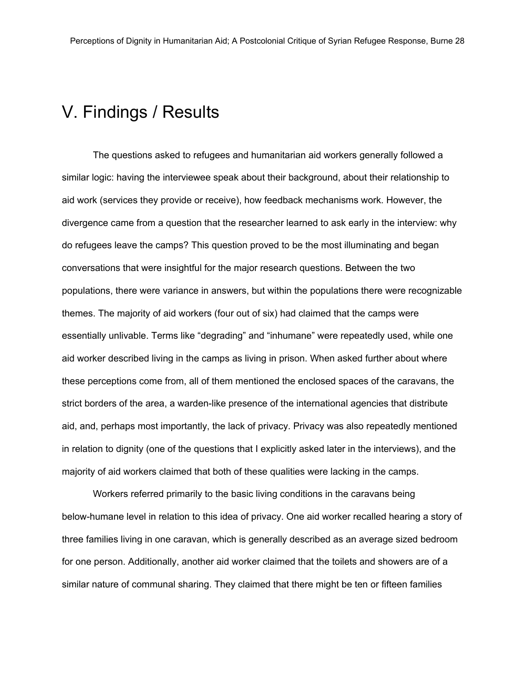### <span id="page-29-0"></span>V. Findings / Results

The questions asked to refugees and humanitarian aid workers generally followed a similar logic: having the interviewee speak about their background, about their relationship to aid work (services they provide or receive), how feedback mechanisms work. However, the divergence came from a question that the researcher learned to ask early in the interview: why do refugees leave the camps? This question proved to be the most illuminating and began conversations that were insightful for the major research questions. Between the two populations, there were variance in answers, but within the populations there were recognizable themes. The majority of aid workers (four out of six) had claimed that the camps were essentially unlivable. Terms like "degrading" and "inhumane" were repeatedly used, while one aid worker described living in the camps as living in prison. When asked further about where these perceptions come from, all of them mentioned the enclosed spaces of the caravans, the strict borders of the area, a warden-like presence of the international agencies that distribute aid, and, perhaps most importantly, the lack of privacy. Privacy was also repeatedly mentioned in relation to dignity (one of the questions that I explicitly asked later in the interviews), and the majority of aid workers claimed that both of these qualities were lacking in the camps.

Workers referred primarily to the basic living conditions in the caravans being belowhumane level in relation to this idea of privacy. One aid worker recalled hearing a story of three families living in one caravan, which is generally described as an average sized bedroom for one person. Additionally, another aid worker claimed that the toilets and showers are of a similar nature of communal sharing. They claimed that there might be ten or fifteen families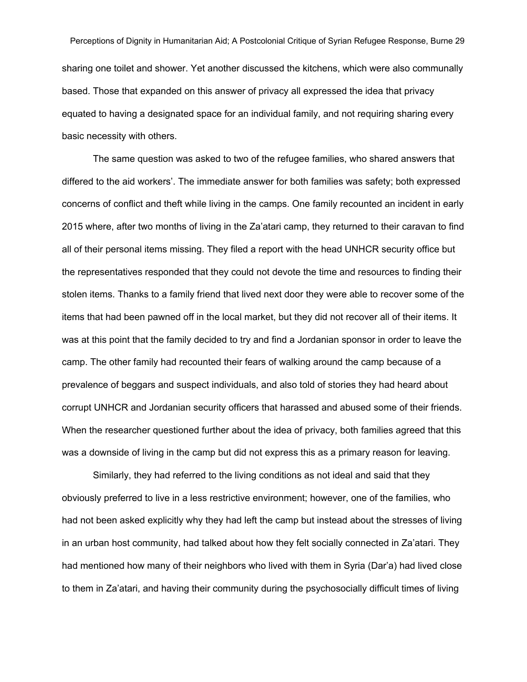Perceptions of Dignity in Humanitarian Aid; A Postcolonial Critique of Syrian Refugee Response, Burne 29 sharing one toilet and shower. Yet another discussed the kitchens, which were also communally based. Those that expanded on this answer of privacy all expressed the idea that privacy equated to having a designated space for an individual family, and not requiring sharing every basic necessity with others.

The same question was asked to two of the refugee families, who shared answers that differed to the aid workers'. The immediate answer for both families was safety; both expressed concerns of conflict and theft while living in the camps. One family recounted an incident in early 2015 where, after two months of living in the Za'atari camp, they returned to their caravan to find all of their personal items missing. They filed a report with the head UNHCR security office but the representatives responded that they could not devote the time and resources to finding their stolen items. Thanks to a family friend that lived next door they were able to recover some of the items that had been pawned off in the local market, but they did not recover all of their items. It was at this point that the family decided to try and find a Jordanian sponsor in order to leave the camp. The other family had recounted their fears of walking around the camp because of a prevalence of beggars and suspect individuals, and also told of stories they had heard about corrupt UNHCR and Jordanian security officers that harassed and abused some of their friends. When the researcher questioned further about the idea of privacy, both families agreed that this was a downside of living in the camp but did not express this as a primary reason for leaving.

Similarly, they had referred to the living conditions as not ideal and said that they obviously preferred to live in a less restrictive environment; however, one of the families, who had not been asked explicitly why they had left the camp but instead about the stresses of living in an urban host community, had talked about how they felt socially connected in Za'atari. They had mentioned how many of their neighbors who lived with them in Syria (Dar'a) had lived close to them in Za'atari, and having their community during the psychosocially difficult times of living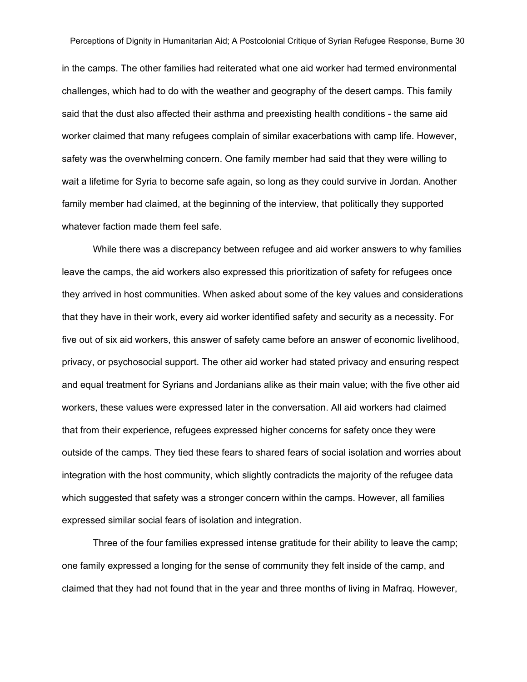in the camps. The other families had reiterated what one aid worker had termed environmental challenges, which had to do with the weather and geography of the desert camps. This family said that the dust also affected their asthma and preexisting health conditions - the same aid worker claimed that many refugees complain of similar exacerbations with camp life. However, safety was the overwhelming concern. One family member had said that they were willing to wait a lifetime for Syria to become safe again, so long as they could survive in Jordan. Another family member had claimed, at the beginning of the interview, that politically they supported whatever faction made them feel safe.

While there was a discrepancy between refugee and aid worker answers to why families leave the camps, the aid workers also expressed this prioritization of safety for refugees once they arrived in host communities. When asked about some of the key values and considerations that they have in their work, every aid worker identified safety and security as a necessity. For five out of six aid workers, this answer of safety came before an answer of economic livelihood, privacy, or psychosocial support. The other aid worker had stated privacy and ensuring respect and equal treatment for Syrians and Jordanians alike as their main value; with the five other aid workers, these values were expressed later in the conversation. All aid workers had claimed that from their experience, refugees expressed higher concerns for safety once they were outside of the camps. They tied these fears to shared fears of social isolation and worries about integration with the host community, which slightly contradicts the majority of the refugee data which suggested that safety was a stronger concern within the camps. However, all families expressed similar social fears of isolation and integration.

Three of the four families expressed intense gratitude for their ability to leave the camp; one family expressed a longing for the sense of community they felt inside of the camp, and claimed that they had not found that in the year and three months of living in Mafraq. However,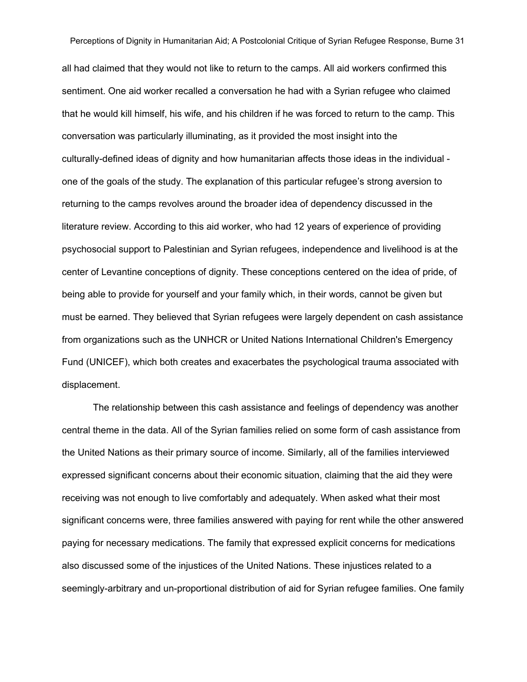all had claimed that they would not like to return to the camps. All aid workers confirmed this sentiment. One aid worker recalled a conversation he had with a Syrian refugee who claimed that he would kill himself, his wife, and his children if he was forced to return to the camp. This conversation was particularly illuminating, as it provided the most insight into the culturally-defined ideas of dignity and how humanitarian affects those ideas in the individual one of the goals of the study. The explanation of this particular refugee's strong aversion to returning to the camps revolves around the broader idea of dependency discussed in the literature review. According to this aid worker, who had 12 years of experience of providing psychosocial support to Palestinian and Syrian refugees, independence and livelihood is at the center of Levantine conceptions of dignity. These conceptions centered on the idea of pride, of being able to provide for yourself and your family which, in their words, cannot be given but must be earned. They believed that Syrian refugees were largely dependent on cash assistance from organizations such as the UNHCR or United Nations International Children's Emergency Fund (UNICEF), which both creates and exacerbates the psychological trauma associated with displacement.

The relationship between this cash assistance and feelings of dependency was another central theme in the data. All of the Syrian families relied on some form of cash assistance from the United Nations as their primary source of income. Similarly, all of the families interviewed expressed significant concerns about their economic situation, claiming that the aid they were receiving was not enough to live comfortably and adequately. When asked what their most significant concerns were, three families answered with paying for rent while the other answered paying for necessary medications. The family that expressed explicit concerns for medications also discussed some of the injustices of the United Nations. These injustices related to a seemingly-arbitrary and un-proportional distribution of aid for Syrian refugee families. One family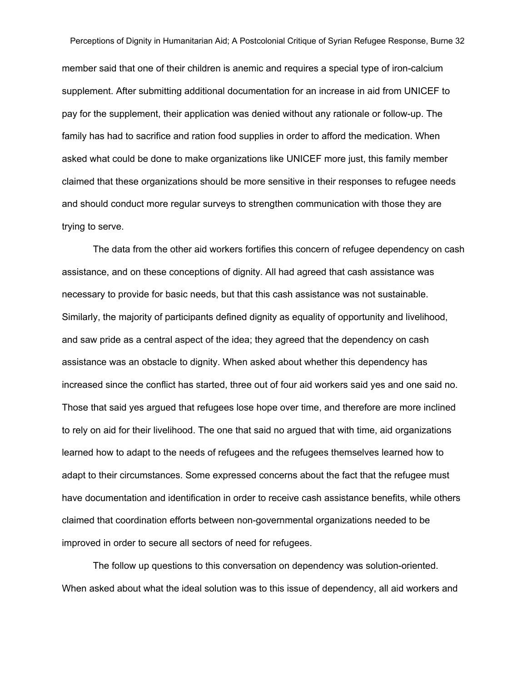member said that one of their children is anemic and requires a special type of iron-calcium supplement. After submitting additional documentation for an increase in aid from UNICEF to pay for the supplement, their application was denied without any rationale or followup. The family has had to sacrifice and ration food supplies in order to afford the medication. When asked what could be done to make organizations like UNICEF more just, this family member claimed that these organizations should be more sensitive in their responses to refugee needs and should conduct more regular surveys to strengthen communication with those they are trying to serve.

The data from the other aid workers fortifies this concern of refugee dependency on cash assistance, and on these conceptions of dignity. All had agreed that cash assistance was necessary to provide for basic needs, but that this cash assistance was not sustainable. Similarly, the majority of participants defined dignity as equality of opportunity and livelihood, and saw pride as a central aspect of the idea; they agreed that the dependency on cash assistance was an obstacle to dignity. When asked about whether this dependency has increased since the conflict has started, three out of four aid workers said yes and one said no. Those that said yes argued that refugees lose hope over time, and therefore are more inclined to rely on aid for their livelihood. The one that said no argued that with time, aid organizations learned how to adapt to the needs of refugees and the refugees themselves learned how to adapt to their circumstances. Some expressed concerns about the fact that the refugee must have documentation and identification in order to receive cash assistance benefits, while others claimed that coordination efforts between nongovernmental organizations needed to be improved in order to secure all sectors of need for refugees.

The follow up questions to this conversation on dependency was solution-oriented. When asked about what the ideal solution was to this issue of dependency, all aid workers and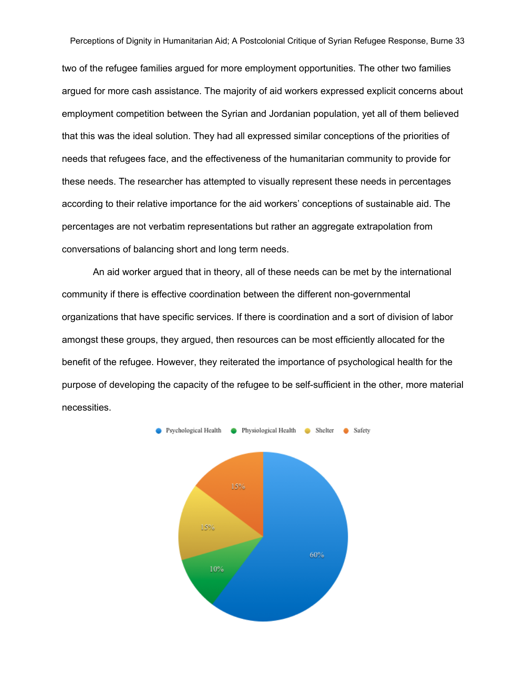two of the refugee families argued for more employment opportunities. The other two families argued for more cash assistance. The majority of aid workers expressed explicit concerns about employment competition between the Syrian and Jordanian population, yet all of them believed that this was the ideal solution. They had all expressed similar conceptions of the priorities of needs that refugees face, and the effectiveness of the humanitarian community to provide for these needs. The researcher has attempted to visually represent these needs in percentages according to their relative importance for the aid workers' conceptions of sustainable aid. The percentages are not verbatim representations but rather an aggregate extrapolation from conversations of balancing short and long term needs.

An aid worker argued that in theory, all of these needs can be met by the international community if there is effective coordination between the different nongovernmental organizations that have specific services. If there is coordination and a sort of division of labor amongst these groups, they argued, then resources can be most efficiently allocated for the benefit of the refugee. However, they reiterated the importance of psychological health for the purpose of developing the capacity of the refugee to be self-sufficient in the other, more material necessities.

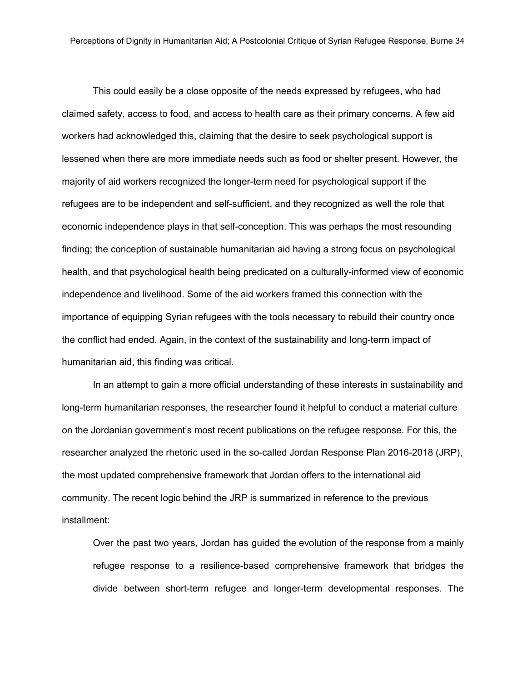This could easily be a close opposite of the needs expressed by refugees, who had claimed safety, access to food, and access to health care as their primary concerns. A few aid workers had acknowledged this, claiming that the desire to seek psychological support is lessened when there are more immediate needs such as food or shelter present. However, the majority of aid workers recognized the longer-term need for psychological support if the refugees are to be independent and self-sufficient, and they recognized as well the role that economic independence plays in that self-conception. This was perhaps the most resounding finding; the conception of sustainable humanitarian aid having a strong focus on psychological health, and that psychological health being predicated on a culturally-informed view of economic independence and livelihood. Some of the aid workers framed this connection with the importance of equipping Syrian refugees with the tools necessary to rebuild their country once the conflict had ended. Again, in the context of the sustainability and long-term impact of humanitarian aid, this finding was critical.

In an attempt to gain a more official understanding of these interests in sustainability and long-term humanitarian responses, the researcher found it helpful to conduct a material culture on the Jordanian government's most recent publications on the refugee response. For this, the researcher analyzed the rhetoric used in the so-called Jordan Response Plan 2016-2018 (JRP), the most updated comprehensive framework that Jordan offers to the international aid community. The recent logic behind the JRP is summarized in reference to the previous installment:

Over the past two years, Jordan has guided the evolution of the response from a mainly refugee response to a resilience-based comprehensive framework that bridges the divide between short-term refugee and longer-term developmental responses. The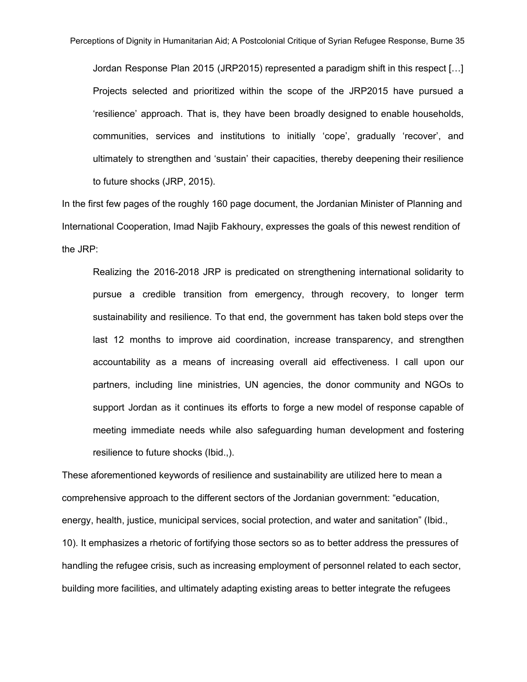Jordan Response Plan 2015 (JRP2015) represented a paradigm shift in this respect […] Projects selected and prioritized within the scope of the JRP2015 have pursued a 'resilience' approach. That is, they have been broadly designed to enable households, communities, services and institutions to initially 'cope', gradually 'recover', and ultimately to strengthen and 'sustain' their capacities, thereby deepening their resilience to future shocks (JRP, 2015).

In the first few pages of the roughly 160 page document, the Jordanian Minister of Planning and International Cooperation, Imad Najib Fakhoury, expresses the goals of this newest rendition of the JRP:

Realizing the 2016-2018 JRP is predicated on strengthening international solidarity to pursue a credible transition from emergency, through recovery, to longer term sustainability and resilience. To that end, the government has taken bold steps over the last 12 months to improve aid coordination, increase transparency, and strengthen accountability as a means of increasing overall aid effectiveness. I call upon our partners, including line ministries, UN agencies, the donor community and NGOs to support Jordan as it continues its efforts to forge a new model of response capable of meeting immediate needs while also safeguarding human development and fostering resilience to future shocks (Ibid.,).

These aforementioned keywords of resilience and sustainability are utilized here to mean a comprehensive approach to the different sectors of the Jordanian government: "education, energy, health, justice, municipal services, social protection, and water and sanitation" (Ibid., 10). It emphasizes a rhetoric of fortifying those sectors so as to better address the pressures of handling the refugee crisis, such as increasing employment of personnel related to each sector, building more facilities, and ultimately adapting existing areas to better integrate the refugees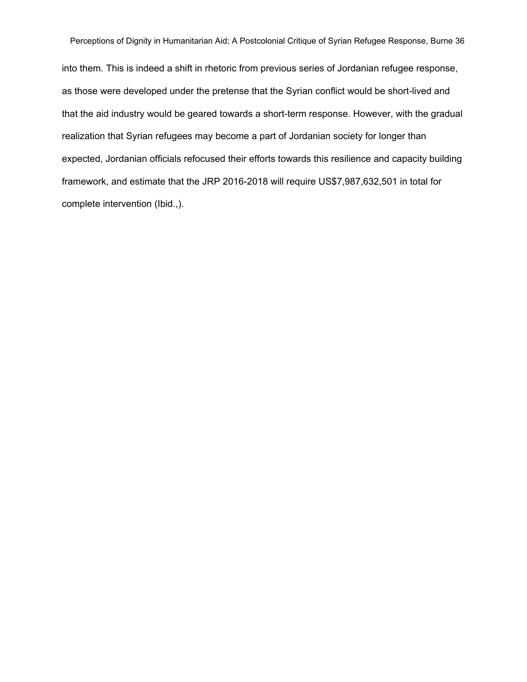into them. This is indeed a shift in rhetoric from previous series of Jordanian refugee response, as those were developed under the pretense that the Syrian conflict would be short-lived and that the aid industry would be geared towards a short-term response. However, with the gradual realization that Syrian refugees may become a part of Jordanian society for longer than expected, Jordanian officials refocused their efforts towards this resilience and capacity building framework, and estimate that the JRP 2016-2018 will require US\$7,987,632,501 in total for complete intervention (Ibid.,).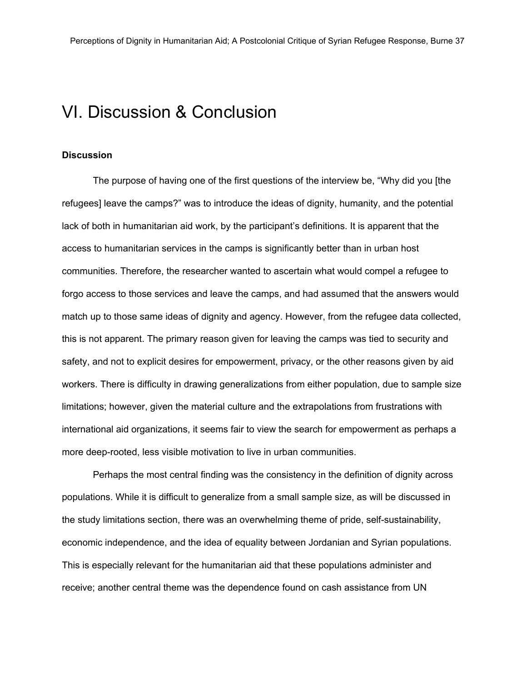### VI. Discussion & Conclusion

#### **Discussion**

The purpose of having one of the first questions of the interview be, "Why did you [the refugees] leave the camps?" was to introduce the ideas of dignity, humanity, and the potential lack of both in humanitarian aid work, by the participant's definitions. It is apparent that the access to humanitarian services in the camps is significantly better than in urban host communities. Therefore, the researcher wanted to ascertain what would compel a refugee to forgo access to those services and leave the camps, and had assumed that the answers would match up to those same ideas of dignity and agency. However, from the refugee data collected, this is not apparent. The primary reason given for leaving the camps was tied to security and safety, and not to explicit desires for empowerment, privacy, or the other reasons given by aid workers. There is difficulty in drawing generalizations from either population, due to sample size limitations; however, given the material culture and the extrapolations from frustrations with international aid organizations, it seems fair to view the search for empowerment as perhaps a more deep-rooted, less visible motivation to live in urban communities.

Perhaps the most central finding was the consistency in the definition of dignity across populations. While it is difficult to generalize from a small sample size, as will be discussed in the study limitations section, there was an overwhelming theme of pride, self-sustainability, economic independence, and the idea of equality between Jordanian and Syrian populations. This is especially relevant for the humanitarian aid that these populations administer and receive; another central theme was the dependence found on cash assistance from UN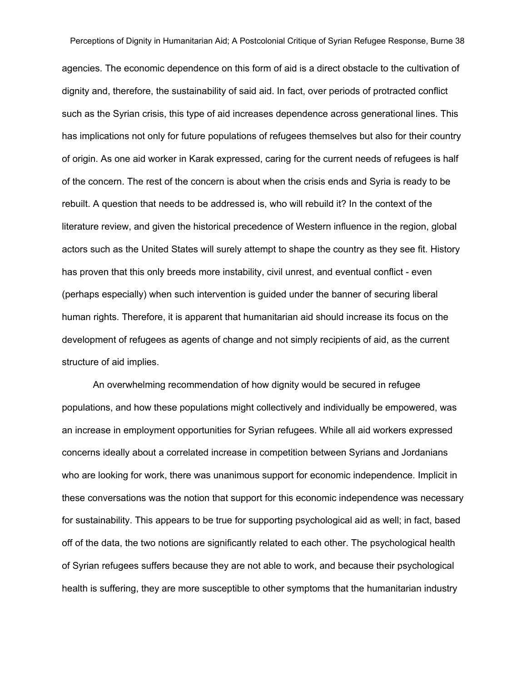agencies. The economic dependence on this form of aid is a direct obstacle to the cultivation of dignity and, therefore, the sustainability of said aid. In fact, over periods of protracted conflict such as the Syrian crisis, this type of aid increases dependence across generational lines. This has implications not only for future populations of refugees themselves but also for their country of origin. As one aid worker in Karak expressed, caring for the current needs of refugees is half of the concern. The rest of the concern is about when the crisis ends and Syria is ready to be rebuilt. A question that needs to be addressed is, who will rebuild it? In the context of the literature review, and given the historical precedence of Western influence in the region, global actors such as the United States will surely attempt to shape the country as they see fit. History has proven that this only breeds more instability, civil unrest, and eventual conflict - even (perhaps especially) when such intervention is guided under the banner of securing liberal human rights. Therefore, it is apparent that humanitarian aid should increase its focus on the development of refugees as agents of change and not simply recipients of aid, as the current structure of aid implies.

An overwhelming recommendation of how dignity would be secured in refugee populations, and how these populations might collectively and individually be empowered, was an increase in employment opportunities for Syrian refugees. While all aid workers expressed concerns ideally about a correlated increase in competition between Syrians and Jordanians who are looking for work, there was unanimous support for economic independence. Implicit in these conversations was the notion that support for this economic independence was necessary for sustainability. This appears to be true for supporting psychological aid as well; in fact, based off of the data, the two notions are significantly related to each other. The psychological health of Syrian refugees suffers because they are not able to work, and because their psychological health is suffering, they are more susceptible to other symptoms that the humanitarian industry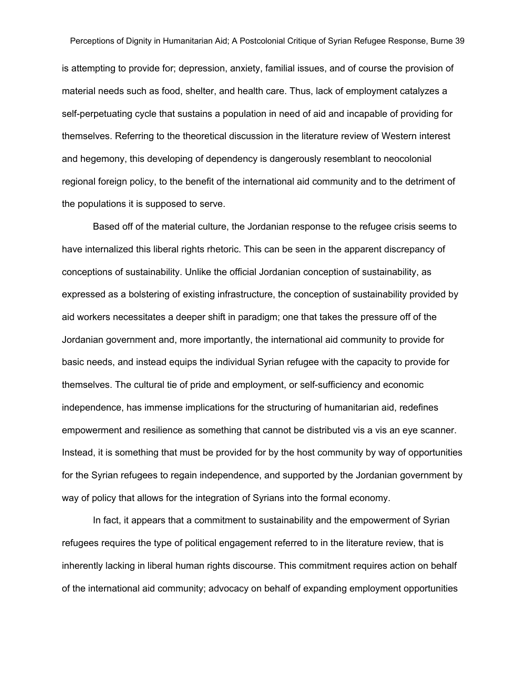is attempting to provide for; depression, anxiety, familial issues, and of course the provision of material needs such as food, shelter, and health care. Thus, lack of employment catalyzes a self-perpetuating cycle that sustains a population in need of aid and incapable of providing for themselves. Referring to the theoretical discussion in the literature review of Western interest and hegemony, this developing of dependency is dangerously resemblant to neocolonial regional foreign policy, to the benefit of the international aid community and to the detriment of the populations it is supposed to serve.

Based off of the material culture, the Jordanian response to the refugee crisis seems to have internalized this liberal rights rhetoric. This can be seen in the apparent discrepancy of conceptions of sustainability. Unlike the official Jordanian conception of sustainability, as expressed as a bolstering of existing infrastructure, the conception of sustainability provided by aid workers necessitates a deeper shift in paradigm; one that takes the pressure off of the Jordanian government and, more importantly, the international aid community to provide for basic needs, and instead equips the individual Syrian refugee with the capacity to provide for themselves. The cultural tie of pride and employment, or self-sufficiency and economic independence, has immense implications for the structuring of humanitarian aid, redefines empowerment and resilience as something that cannot be distributed vis a vis an eye scanner. Instead, it is something that must be provided for by the host community by way of opportunities for the Syrian refugees to regain independence, and supported by the Jordanian government by way of policy that allows for the integration of Syrians into the formal economy.

In fact, it appears that a commitment to sustainability and the empowerment of Syrian refugees requires the type of political engagement referred to in the literature review, that is inherently lacking in liberal human rights discourse. This commitment requires action on behalf of the international aid community; advocacy on behalf of expanding employment opportunities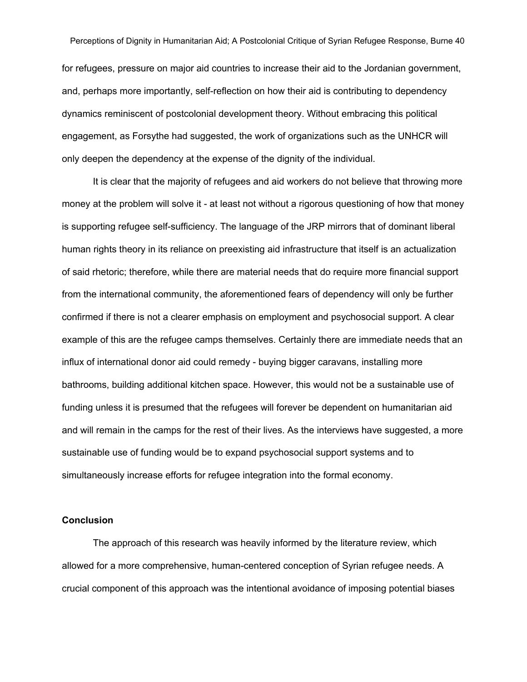for refugees, pressure on major aid countries to increase their aid to the Jordanian government, and, perhaps more importantly, self-reflection on how their aid is contributing to dependency dynamics reminiscent of postcolonial development theory. Without embracing this political engagement, as Forsythe had suggested, the work of organizations such as the UNHCR will only deepen the dependency at the expense of the dignity of the individual.

It is clear that the majority of refugees and aid workers do not believe that throwing more money at the problem will solve it - at least not without a rigorous questioning of how that money is supporting refugee self-sufficiency. The language of the JRP mirrors that of dominant liberal human rights theory in its reliance on preexisting aid infrastructure that itself is an actualization of said rhetoric; therefore, while there are material needs that do require more financial support from the international community, the aforementioned fears of dependency will only be further confirmed if there is not a clearer emphasis on employment and psychosocial support. A clear example of this are the refugee camps themselves. Certainly there are immediate needs that an influx of international donor aid could remedy - buying bigger caravans, installing more bathrooms, building additional kitchen space. However, this would not be a sustainable use of funding unless it is presumed that the refugees will forever be dependent on humanitarian aid and will remain in the camps for the rest of their lives. As the interviews have suggested, a more sustainable use of funding would be to expand psychosocial support systems and to simultaneously increase efforts for refugee integration into the formal economy.

#### **Conclusion**

The approach of this research was heavily informed by the literature review, which allowed for a more comprehensive, human-centered conception of Syrian refugee needs. A crucial component of this approach was the intentional avoidance of imposing potential biases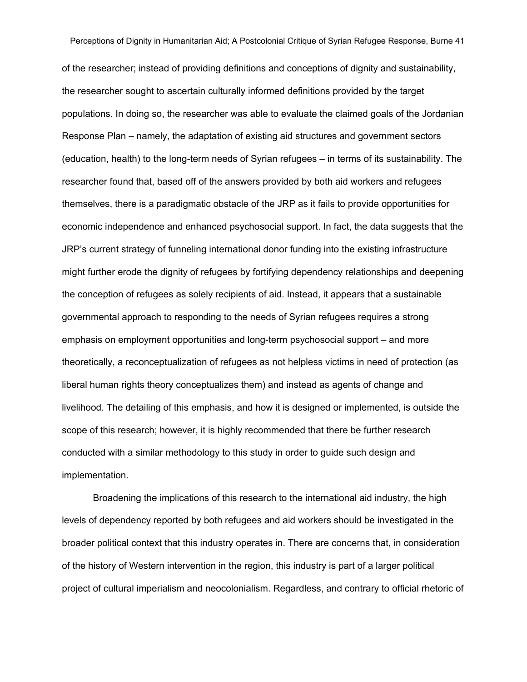of the researcher; instead of providing definitions and conceptions of dignity and sustainability, the researcher sought to ascertain culturally informed definitions provided by the target populations. In doing so, the researcher was able to evaluate the claimed goals of the Jordanian Response Plan – namely, the adaptation of existing aid structures and government sectors (education, health) to the long-term needs of Syrian refugees  $-$  in terms of its sustainability. The researcher found that, based off of the answers provided by both aid workers and refugees themselves, there is a paradigmatic obstacle of the JRP as it fails to provide opportunities for economic independence and enhanced psychosocial support. In fact, the data suggests that the JRP's current strategy of funneling international donor funding into the existing infrastructure might further erode the dignity of refugees by fortifying dependency relationships and deepening the conception of refugees as solely recipients of aid. Instead, it appears that a sustainable governmental approach to responding to the needs of Syrian refugees requires a strong emphasis on employment opportunities and long-term psychosocial support – and more theoretically, a reconceptualization of refugees as not helpless victims in need of protection (as liberal human rights theory conceptualizes them) and instead as agents of change and livelihood. The detailing of this emphasis, and how it is designed or implemented, is outside the scope of this research; however, it is highly recommended that there be further research conducted with a similar methodology to this study in order to guide such design and implementation.

Broadening the implications of this research to the international aid industry, the high levels of dependency reported by both refugees and aid workers should be investigated in the broader political context that this industry operates in. There are concerns that, in consideration of the history of Western intervention in the region, this industry is part of a larger political project of cultural imperialism and neocolonialism. Regardless, and contrary to official rhetoric of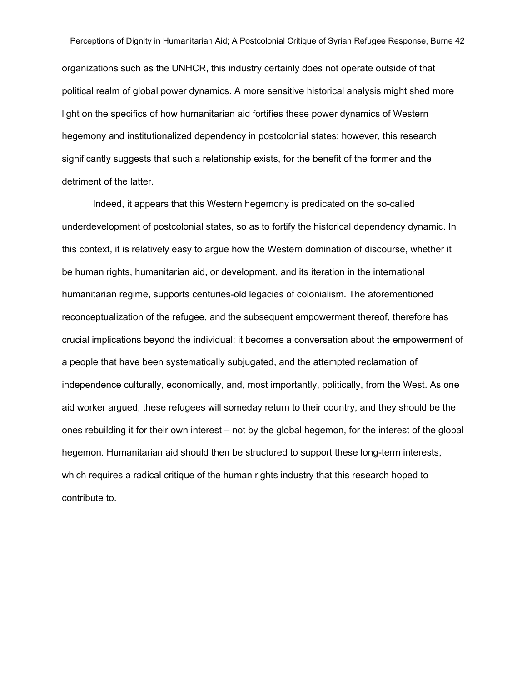Perceptions of Dignity in Humanitarian Aid; A Postcolonial Critique of Syrian Refugee Response, Burne 42 organizations such as the UNHCR, this industry certainly does not operate outside of that political realm of global power dynamics. A more sensitive historical analysis might shed more light on the specifics of how humanitarian aid fortifies these power dynamics of Western hegemony and institutionalized dependency in postcolonial states; however, this research significantly suggests that such a relationship exists, for the benefit of the former and the detriment of the latter.

Indeed, it appears that this Western hegemony is predicated on the so-called underdevelopment of postcolonial states, so as to fortify the historical dependency dynamic. In this context, it is relatively easy to argue how the Western domination of discourse, whether it be human rights, humanitarian aid, or development, and its iteration in the international humanitarian regime, supports centuries-old legacies of colonialism. The aforementioned reconceptualization of the refugee, and the subsequent empowerment thereof, therefore has crucial implications beyond the individual; it becomes a conversation about the empowerment of a people that have been systematically subjugated, and the attempted reclamation of independence culturally, economically, and, most importantly, politically, from the West. As one aid worker argued, these refugees will someday return to their country, and they should be the ones rebuilding it for their own interest – not by the global hegemon, for the interest of the global hegemon. Humanitarian aid should then be structured to support these long-term interests, which requires a radical critique of the human rights industry that this research hoped to contribute to.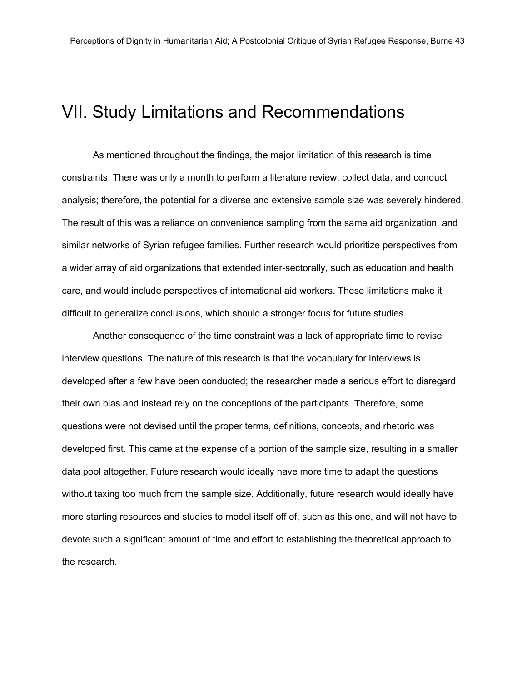### <span id="page-44-0"></span>VII. Study Limitations and Recommendations

As mentioned throughout the findings, the major limitation of this research is time constraints. There was only a month to perform a literature review, collect data, and conduct analysis; therefore, the potential for a diverse and extensive sample size was severely hindered. The result of this was a reliance on convenience sampling from the same aid organization, and similar networks of Syrian refugee families. Further research would prioritize perspectives from a wider array of aid organizations that extended intersectorally, such as education and health care, and would include perspectives of international aid workers. These limitations make it difficult to generalize conclusions, which should a stronger focus for future studies.

Another consequence of the time constraint was a lack of appropriate time to revise interview questions. The nature of this research is that the vocabulary for interviews is developed after a few have been conducted; the researcher made a serious effort to disregard their own bias and instead rely on the conceptions of the participants. Therefore, some questions were not devised until the proper terms, definitions, concepts, and rhetoric was developed first. This came at the expense of a portion of the sample size, resulting in a smaller data pool altogether. Future research would ideally have more time to adapt the questions without taxing too much from the sample size. Additionally, future research would ideally have more starting resources and studies to model itself off of, such as this one, and will not have to devote such a significant amount of time and effort to establishing the theoretical approach to the research.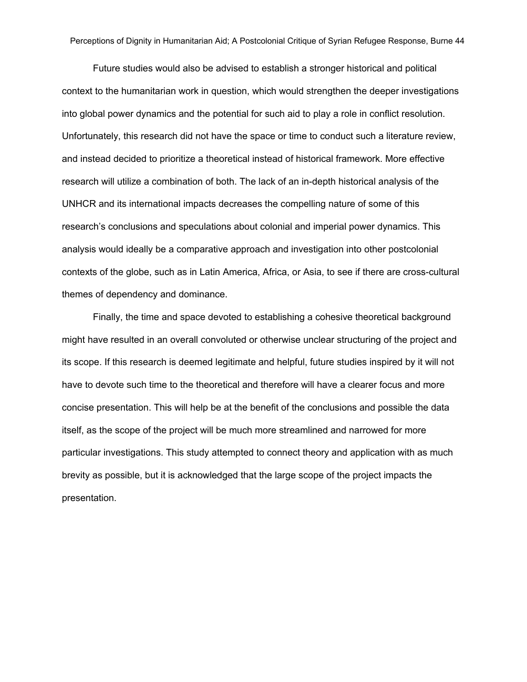Future studies would also be advised to establish a stronger historical and political context to the humanitarian work in question, which would strengthen the deeper investigations into global power dynamics and the potential for such aid to play a role in conflict resolution. Unfortunately, this research did not have the space or time to conduct such a literature review, and instead decided to prioritize a theoretical instead of historical framework. More effective research will utilize a combination of both. The lack of an in-depth historical analysis of the UNHCR and its international impacts decreases the compelling nature of some of this research's conclusions and speculations about colonial and imperial power dynamics. This analysis would ideally be a comparative approach and investigation into other postcolonial contexts of the globe, such as in Latin America, Africa, or Asia, to see if there are cross-cultural themes of dependency and dominance.

Finally, the time and space devoted to establishing a cohesive theoretical background might have resulted in an overall convoluted or otherwise unclear structuring of the project and its scope. If this research is deemed legitimate and helpful, future studies inspired by it will not have to devote such time to the theoretical and therefore will have a clearer focus and more concise presentation. This will help be at the benefit of the conclusions and possible the data itself, as the scope of the project will be much more streamlined and narrowed for more particular investigations. This study attempted to connect theory and application with as much brevity as possible, but it is acknowledged that the large scope of the project impacts the presentation.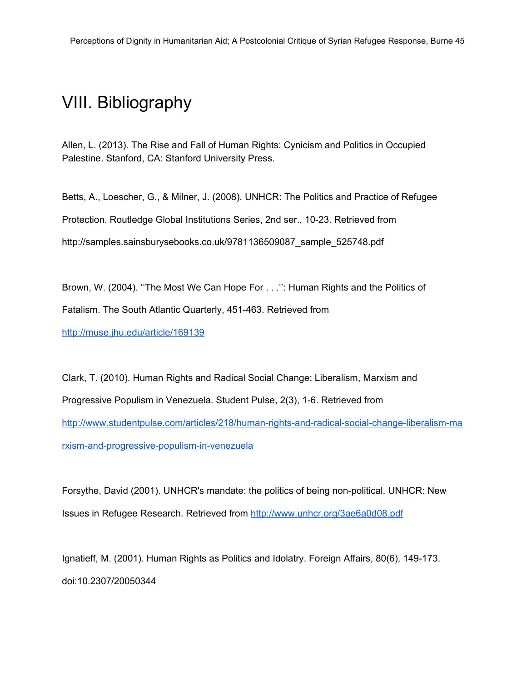### <span id="page-46-0"></span>VIII. Bibliography

Allen, L. (2013). The Rise and Fall of Human Rights: Cynicism and Politics in Occupied Palestine. Stanford, CA: Stanford University Press.

Betts, A., Loescher, G., & Milner, J. (2008). UNHCR: The Politics and Practice of Refugee Protection. Routledge Global Institutions Series, 2nd ser., 10-23. Retrieved from http://samples.sainsburysebooks.co.uk/9781136509087\_sample\_525748.pdf

Brown, W. (2004). ''The Most We Can Hope For . . .'': Human Rights and the Politics of Fatalism. The South Atlantic Quarterly, 451-463. Retrieved from

<http://muse.jhu.edu/article/169139>

Clark, T. (2010). Human Rights and Radical Social Change: Liberalism, Marxism and Progressive Populism in Venezuela. Student Pulse, 2(3), 1-6. Retrieved from http://www.studentpulse.com/articles/218/human-rights-and-radical-social-change-liberalism-ma rxism-and-progressive-populism-in-venezuela

Forsythe, David (2001). UNHCR's mandate: the politics of being non-political. UNHCR: New Issues in Refugee Research. Retrieved from <http://www.unhcr.org/3ae6a0d08.pdf>

Ignatieff, M. (2001). Human Rights as Politics and Idolatry. Foreign Affairs, 80(6), 149-173. doi:10.2307/20050344